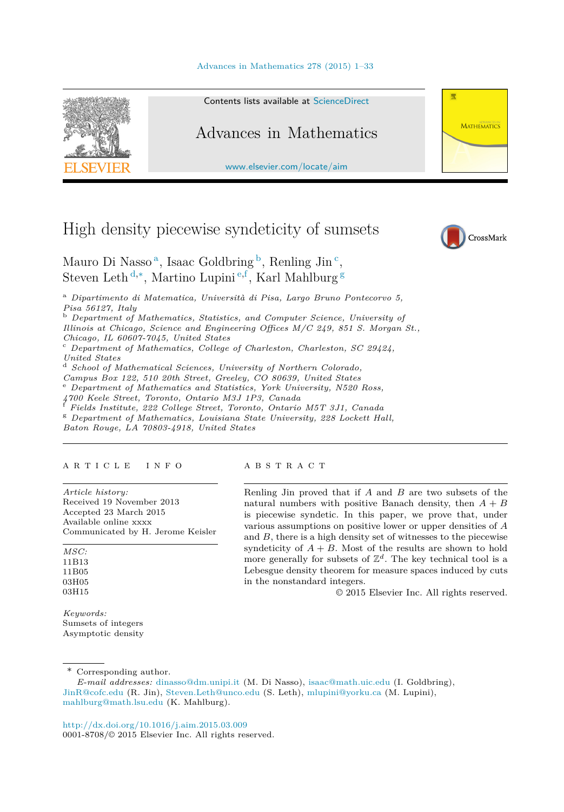#### [Advances in Mathematics 278 \(2015\) 1–33](http://dx.doi.org/10.1016/j.aim.2015.03.009)



Contents lists available at [ScienceDirect](http://www.ScienceDirect.com/)

# Advances in Mathematics

[www.elsevier.com/locate/aim](http://www.elsevier.com/locate/aim)

# High density piecewise syndeticity of sumsets



**MATHEMATICS** 

带

Mauro Di Nasso<sup>a</sup>, Isaac Goldbring  $\frac{b}{c}$ , Renling Jin<sup>c</sup>, Steven Leth <sup>d</sup>*,*∗, Martino Lupini <sup>e</sup>*,*<sup>f</sup> , Karl Mahlburg <sup>g</sup>

<sup>a</sup> *Dipartimento di Matematica, Università di Pisa, Largo Bruno Pontecorvo 5, Pisa 56127, Italy*

<sup>b</sup> *Department of Mathematics, Statistics, and Computer Science, University of*

*Il linois at Chicago, Science and Engineering Offices M/C 249, 851 S. Morgan St.,*

*Chicago, IL 60607-7045, United States*

<sup>c</sup> *Department of Mathematics, Col lege of Charleston, Charleston, SC 29424,*

<sup>d</sup> *School of Mathematical Sciences, University of Northern Colorado, Campus Box 122, 510 20th Street, Greeley, CO 80639, United States* 

 $^{\rm e}$  Department of Mathematics and Statistics, York University, N520 Ross, 4700 Keele Street, Toronto, Ontario M3J 1P3, Canada

 $^{f}$  Fields Institute, 222 College Street, Toronto, Ontario M5T 3J1, Canada  $^{g}$  Department of Mathematics, Louisiana State University, 228 Lockett Hall,

*Baton Rouge, LA 70803-4918, United States*

#### A R T I C L E I N F O A B S T R A C T

*Article history:* Received 19 November 2013 Accepted 23 March 2015 Available online xxxx Communicated by H. Jerome Keisler

*MSC:* 11B13 11B05 03H05 03H15

*Keywords:* Sumsets of integers Asymptotic density

Renling Jin proved that if *A* and *B* are two subsets of the natural numbers with positive Banach density, then  $A + B$ is piecewise syndetic. In this paper, we prove that, under various assumptions on positive lower or upper densities of *A* and *B*, there is a high density set of witnesses to the piecewise syndeticity of  $A + B$ . Most of the results are shown to hold more generally for subsets of  $\mathbb{Z}^d$ . The key technical tool is a Lebesgue density theorem for measure spaces induced by cuts in the nonstandard integers.

© 2015 Elsevier Inc. All rights reserved.

\* Corresponding author.

*E-mail addresses:* [dinasso@dm.unipi.it](mailto:dinasso@dm.unipi.it) (M. Di Nasso), [isaac@math.uic.edu](mailto:isaac@math.uic.edu) (I. Goldbring), [JinR@cofc.edu](mailto:JinR@cofc.edu) (R. Jin), [Steven.Leth@unco.edu](mailto:Steven.Leth@unco.edu) (S. Leth), [mlupini@yorku.ca](mailto:mlupini@yorku.ca) (M. Lupini), [mahlburg@math.lsu.edu](mailto:mahlburg@math.lsu.edu) (K. Mahlburg).

<http://dx.doi.org/10.1016/j.aim.2015.03.009> 0001-8708/© 2015 Elsevier Inc. All rights reserved.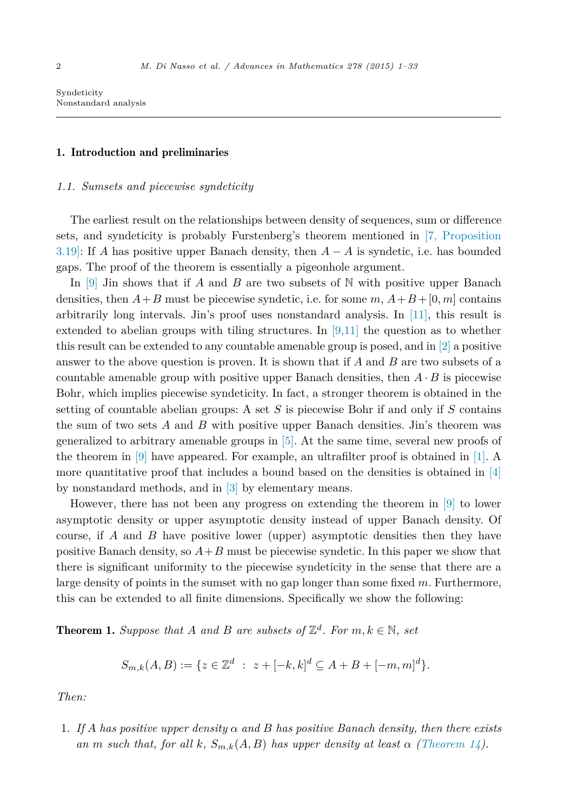# <span id="page-1-0"></span>1. Introduction and preliminaries

#### *1.1. Sumsets and piecewise syndeticity*

The earliest result on the relationships between density of sequences, sum or difference sets, and syndeticity is probably Furstenberg's theorem mentioned in [7, [Proposition](#page-32-0) [3.19\]:](#page-32-0) If *A* has positive upper Banach density, then *A* − *A* is syndetic, i.e. has bounded gaps. The proof of the theorem is essentially a pigeonhole argument.

In  $[9]$  Jin shows that if *A* and *B* are two subsets of N with positive upper Banach densities, then  $A + B$  must be piecewise syndetic, i.e. for some  $m, A + B + [0, m]$  contains arbitrarily long intervals. Jin's proof uses nonstandard analysis. In [\[11\],](#page-32-0) this result is extended to abelian groups with tiling structures. In  $[9,11]$  the question as to whether this result can be extended to any countable amenable group is posed, and in [\[2\]](#page-32-0) a positive answer to the above question is proven. It is shown that if *A* and *B* are two subsets of a countable amenable group with positive upper Banach densities, then  $A \cdot B$  is piecewise Bohr, which implies piecewise syndeticity. In fact, a stronger theorem is obtained in the setting of countable abelian groups: A set *S* is piecewise Bohr if and only if *S* contains the sum of two sets *A* and *B* with positive upper Banach densities. Jin's theorem was generalized to arbitrary amenable groups in [\[5\].](#page-32-0) At the same time, several new proofs of the theorem in [\[9\]](#page-32-0) have appeared. For example, an ultrafilter proof is obtained in [\[1\].](#page-32-0) A more quantitative proof that includes a bound based on the densities is obtained in  $[4]$ by nonstandard methods, and in [\[3\]](#page-32-0) by elementary means.

However, there has not been any progress on extending the theorem in [\[9\]](#page-32-0) to lower asymptotic density or upper asymptotic density instead of upper Banach density. Of course, if *A* and *B* have positive lower (upper) asymptotic densities then they have positive Banach density, so  $A + B$  must be piecewise syndetic. In this paper we show that there is significant uniformity to the piecewise syndeticity in the sense that there are a large density of points in the sumset with no gap longer than some fixed *m*. Furthermore, this can be extended to all finite dimensions. Specifically we show the following:

**Theorem 1.** *Suppose that A and B are subsets of*  $\mathbb{Z}^d$ *. For*  $m, k \in \mathbb{N}$ *, set* 

$$
S_{m,k}(A,B) := \{ z \in \mathbb{Z}^d \; : \; z + [-k,k]^d \subseteq A + B + [-m,m]^d \}.
$$

*Then:*

1. *If A has positive upper density α and B has positive Banach density, then there exists an m such that, for all*  $k$ *,*  $S_{m,k}(A, B)$  *has upper density at least*  $\alpha$  *[\(Theorem 14\)](#page-15-0).*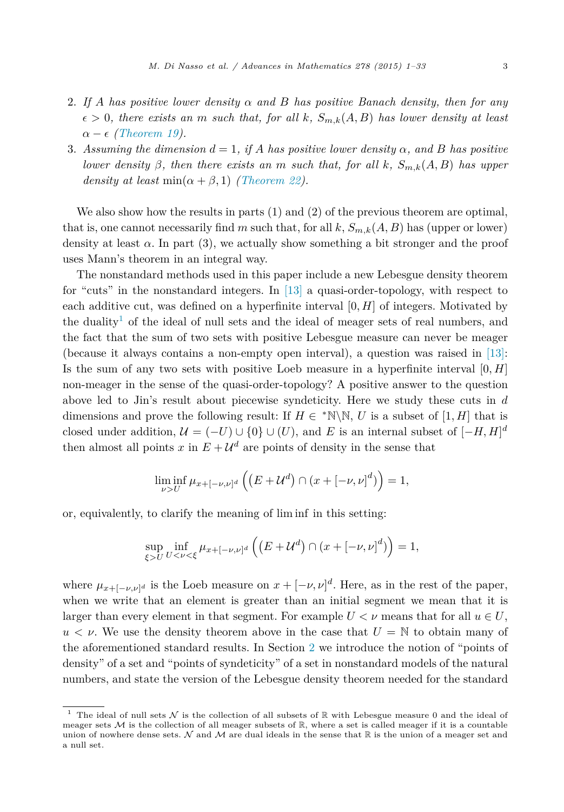- 2. *If A has positive lower density α and B has positive Banach density, then for any*  $\epsilon > 0$ , there exists an m such that, for all k,  $S_{m,k}(A, B)$  has lower density at least  $\alpha - \epsilon$  *[\(Theorem 19\)](#page-18-0).*
- 3. Assuming the dimension  $d = 1$ , if A has positive lower density  $\alpha$ , and B has positive lower density  $\beta$ , then there exists an m such that, for all k,  $S_{m,k}(A, B)$  has upper *density at least* min( $\alpha + \beta$ , 1) *[\(Theorem 22\)](#page-24-0).*

We also show how the results in parts  $(1)$  and  $(2)$  of the previous theorem are optimal, that is, one cannot necessarily find *m* such that, for all  $k$ ,  $S_{m,k}(A, B)$  has (upper or lower) density at least  $\alpha$ . In part (3), we actually show something a bit stronger and the proof uses Mann's theorem in an integral way.

The nonstandard methods used in this paper include a new Lebesgue density theorem for "cuts" in the nonstandard integers. In  $[13]$  a quasi-order-topology, with respect to each additive cut, was defined on a hyperfinite interval [0*, H*] of integers. Motivated by the duality<sup>1</sup> of the ideal of null sets and the ideal of meager sets of real numbers, and the fact that the sum of two sets with positive Lebesgue measure can never be meager (because it always contains a non-empty open interval), a question was raised in [\[13\]:](#page-32-0) Is the sum of any two sets with positive Loeb measure in a hyperfinite interval [0*, H*] non-meager in the sense of the quasi-order-topology? A positive answer to the question above led to Jin's result about piecewise syndeticity. Here we study these cuts in *d* dimensions and prove the following result: If  $H \in \mathbb{N}\backslash\mathbb{N}$ , *U* is a subset of [1, *H*] that is closed under addition,  $\mathcal{U} = (-U) \cup \{0\} \cup (U)$ , and *E* is an internal subset of  $[-H, H]^d$ then almost all points *x* in  $E + U^d$  are points of density in the sense that

$$
\liminf_{\nu>U} \mu_{x+[-\nu,\nu]^d} \left( \left( E + \mathcal{U}^d \right) \cap \left( x + [-\nu,\nu]^d \right) \right) = 1,
$$

or, equivalently, to clarify the meaning of lim inf in this setting:

$$
\sup_{\xi>U} \inf_{U<\nu<\xi} \mu_{x+[-\nu,\nu]^d} \left( \left( E + \mathcal{U}^d \right) \cap \left( x + [-\nu,\nu]^d \right) \right) = 1,
$$

where  $\mu_{x+[-\nu,\nu]^d}$  is the Loeb measure on  $x+[-\nu,\nu]^d$ . Here, as in the rest of the paper, when we write that an element is greater than an initial segment we mean that it is larger than every element in that segment. For example  $U < \nu$  means that for all  $u \in U$ ,  $u < v$ . We use the density theorem above in the case that  $U = N$  to obtain many of the aforementioned standard results. In Section [2](#page-6-0) we introduce the notion of "points of density" of a set and "points of syndeticity" of a set in nonstandard models of the natural numbers, and state the version of the Lebesgue density theorem needed for the standard

<sup>&</sup>lt;sup>1</sup> The ideal of null sets  $N$  is the collection of all subsets of R with Lebesgue measure 0 and the ideal of meager sets  $M$  is the collection of all meager subsets of  $\mathbb{R}$ , where a set is called meager if it is a countable union of nowhere dense sets. N and M are dual ideals in the sense that  $\mathbb R$  is the union of a meager set and a null set.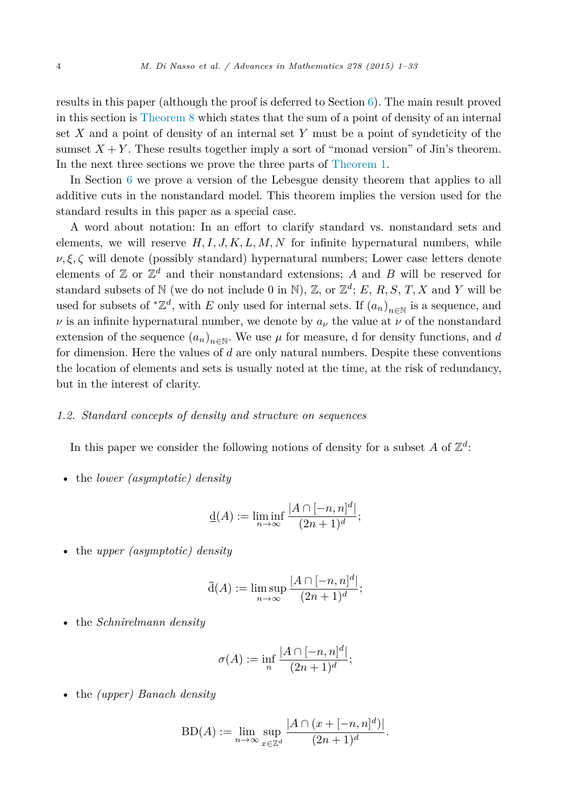results in this paper (although the proof is deferred to Section  $6$ ). The main result proved in this section is [Theorem 8](#page-10-0) which states that the sum of a point of density of an internal set *X* and a point of density of an internal set *Y* must be a point of syndeticity of the sumset  $X + Y$ . These results together imply a sort of "monad version" of Jin's theorem. In the next three sections we prove the three parts of [Theorem 1.](#page-1-0)

In Section [6](#page-27-0) we prove a version of the Lebesgue density theorem that applies to all additive cuts in the nonstandard model. This theorem implies the version used for the standard results in this paper as a special case.

A word about notation: In an effort to clarify standard vs. nonstandard sets and elements, we will reserve  $H, I, J, K, L, M, N$  for infinite hypernatural numbers, while  $\nu, \xi, \zeta$  will denote (possibly standard) hypernatural numbers; Lower case letters denote elements of  $\mathbb{Z}$  or  $\mathbb{Z}^d$  and their nonstandard extensions; A and B will be reserved for standard subsets of N (we do not include 0 in N), Z, or  $\mathbb{Z}^d$ ; *E*, *R*, *S*, *T*, *X* and *Y* will be used for subsets of  $^*{\mathbb{Z}}^d$ , with *E* only used for internal sets. If  $(a_n)_{n\in\mathbb{N}}$  is a sequence, and *ν* is an infinite hypernatural number, we denote by  $a<sub>ν</sub>$  the value at  $\nu$  of the nonstandard extension of the sequence  $(a_n)_{n\in\mathbb{N}}$ . We use  $\mu$  for measure, d for density functions, and *d* for dimension. Here the values of *d* are only natural numbers. Despite these conventions the location of elements and sets is usually noted at the time, at the risk of redundancy, but in the interest of clarity.

# *1.2. Standard concepts of density and structure on sequences*

In this paper we consider the following notions of density for a subset A of  $\mathbb{Z}^d$ :

• the *lower (asymptotic) density*

$$
\underline{\mathbf{d}}(A) := \liminf_{n \to \infty} \frac{|A \cap [-n, n]^d|}{(2n+1)^d};
$$

• the *upper (asymptotic) density*

$$
\bar{d}(A) := \limsup_{n \to \infty} \frac{|A \cap [-n, n]^d|}{(2n+1)^d};
$$

• the *Schnirelmann density*

$$
\sigma(A) := \inf_n \frac{|A \cap [-n, n]^d|}{(2n+1)^d};
$$

• the *(upper) Banach density*

$$
BD(A) := \lim_{n \to \infty} \sup_{x \in \mathbb{Z}^d} \frac{|A \cap (x + [-n, n]^d)|}{(2n + 1)^d}.
$$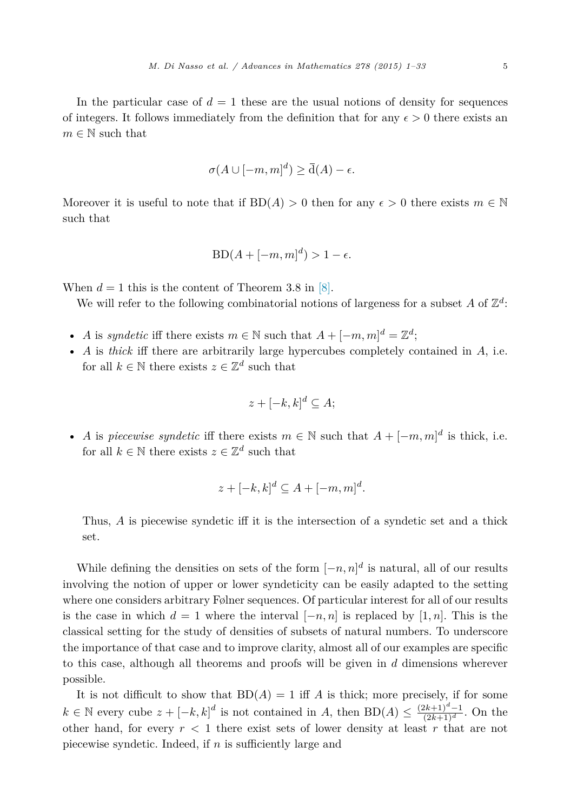In the particular case of  $d = 1$  these are the usual notions of density for sequences of integers. It follows immediately from the definition that for any  $\epsilon > 0$  there exists an  $m \in \mathbb{N}$  such that

$$
\sigma(A \cup [-m, m]^d) \ge \overline{\mathrm{d}}(A) - \epsilon.
$$

Moreover it is useful to note that if  $BD(A) > 0$  then for any  $\epsilon > 0$  there exists  $m \in \mathbb{N}$ such that

$$
BD(A + [-m, m]^d) > 1 - \epsilon.
$$

When  $d = 1$  this is the content of Theorem 3.8 in [\[8\].](#page-32-0)

We will refer to the following combinatorial notions of largeness for a subset A of  $\mathbb{Z}^d$ :

- *A* is *syndetic* iff there exists  $m \in \mathbb{N}$  such that  $A + [-m, m]^d = \mathbb{Z}^d$ ;
- *A* is *thick* iff there are arbitrarily large hypercubes completely contained in *A*, i.e. for all  $k \in \mathbb{N}$  there exists  $z \in \mathbb{Z}^d$  such that

$$
z + [-k, k]^d \subseteq A;
$$

• *A* is *piecewise syndetic* iff there exists  $m \in \mathbb{N}$  such that  $A + [-m, m]^d$  is thick, i.e. for all  $k \in \mathbb{N}$  there exists  $z \in \mathbb{Z}^d$  such that

$$
z + [-k, k]^d \subseteq A + [-m, m]^d.
$$

Thus, *A* is piecewise syndetic iff it is the intersection of a syndetic set and a thick set.

While defining the densities on sets of the form  $[-n, n]^d$  is natural, all of our results involving the notion of upper or lower syndeticity can be easily adapted to the setting where one considers arbitrary Følner sequences. Of particular interest for all of our results is the case in which  $d = 1$  where the interval  $[-n, n]$  is replaced by  $[1, n]$ . This is the classical setting for the study of densities of subsets of natural numbers. To underscore the importance of that case and to improve clarity, almost all of our examples are specific to this case, although all theorems and proofs will be given in *d* dimensions wherever possible.

It is not difficult to show that  $BD(A) = 1$  iff *A* is thick; more precisely, if for some *k* ∈ N every cube  $z + [-k, k]^d$  is not contained in *A*, then BD(*A*) ≤  $\frac{(2k+1)^d-1}{(2k+1)^d}$ . On the other hand, for every  $r < 1$  there exist sets of lower density at least  $r$  that are not piecewise syndetic. Indeed, if *n* is sufficiently large and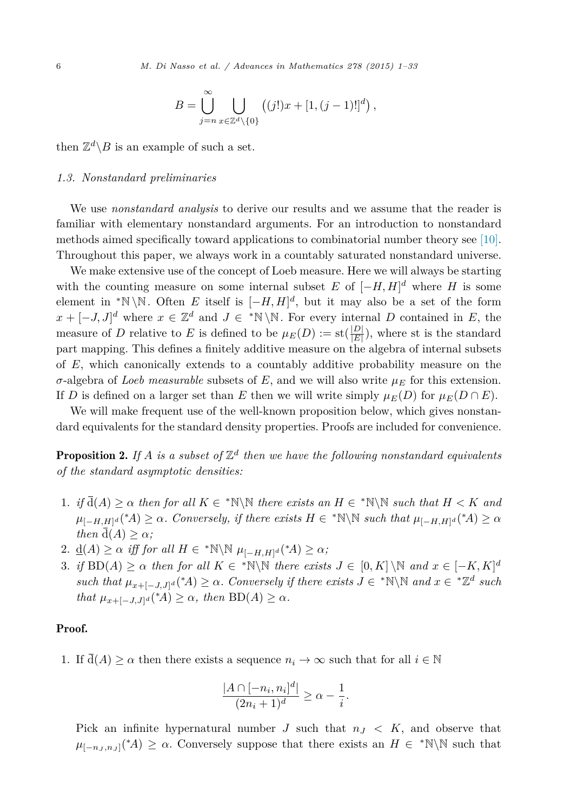$$
B = \bigcup_{j=n}^{\infty} \bigcup_{x \in \mathbb{Z}^d \setminus \{0\}} \left( (j!)x + [1, (j-1)!]^d \right),
$$

<span id="page-5-0"></span>then  $\mathbb{Z}^d \backslash B$  is an example of such a set.

#### *1.3. Nonstandard preliminaries*

We use *nonstandard analysis* to derive our results and we assume that the reader is familiar with elementary nonstandard arguments. For an introduction to nonstandard methods aimed specifically toward applications to combinatorial number theory see [\[10\].](#page-32-0) Throughout this paper, we always work in a countably saturated nonstandard universe.

We make extensive use of the concept of Loeb measure. Here we will always be starting with the counting measure on some internal subset  $E$  of  $[-H, H]^d$  where  $H$  is some element in <sup>\*</sup>N\N. Often *E* itself is  $[-H, H]^d$ , but it may also be a set of the form  $x + [-J, J]^d$  where  $x \in \mathbb{Z}^d$  and  $J \in {^*N \setminus \mathbb{N}}$ . For every internal *D* contained in *E*, the measure of *D* relative to *E* is defined to be  $\mu_E(D) := \text{st}(\frac{|D|}{|E|})$ , where st is the standard part mapping. This defines a finitely additive measure on the algebra of internal subsets of *E*, which canonically extends to a countably additive probability measure on the *σ*-algebra of *Loeb measurable* subsets of *E*, and we will also write *µ<sup>E</sup>* for this extension. If *D* is defined on a larger set than *E* then we will write simply  $\mu_E(D)$  for  $\mu_E(D \cap E)$ .

We will make frequent use of the well-known proposition below, which gives nonstandard equivalents for the standard density properties. Proofs are included for convenience.

**Proposition 2.** If A is a subset of  $\mathbb{Z}^d$  then we have the following nonstandard equivalents *of the standard asymptotic densities:*

- 1. *if*  $\overline{d}(A) \ge \alpha$  *then for* all  $K \in \mathbb{N} \setminus \mathbb{N}$  *there exists* an  $H \in \mathbb{N} \setminus \mathbb{N}$  *such that*  $H < K$  *and*  $\mu_{[-H,H]^d}({^*\!A}) \geq \alpha$ *. Conversely, if there exists*  $H \in {^*\!N\backslash \mathbb{N}}$  *such that*  $\mu_{[-H,H]^d}({^*\!A}) \geq \alpha$ *then*  $\overline{d}(A) > \alpha$ *;*
- 2.  $\underline{d}(A) \ge \alpha$  *iff for all*  $H \in {^*\mathbb{N}} \backslash \mathbb{N}$   $\mu_{[-H,H]^d}({^*A}) \ge \alpha$ ;
- 3. *if*  $BD(A) \ge \alpha$  *then for all*  $K \in \mathbb{N} \setminus \mathbb{N}$  *there exists*  $J \in [0, K] \setminus \mathbb{N}$  *and*  $x \in [-K, K]^d$ *such that*  $\mu_{x+[-J,J]^d}({^*A}) \geq \alpha$ *. Conversely if there exists*  $J \in {^*N\N}$  *and*  $x \in {^*Z^d}$  *such that*  $\mu_{x+[-J,J]^d}({^*A}) \ge \alpha$ *, then*  $BD(A) \ge \alpha$ *.*

# Proof.

1. If  $\bar{d}(A) \ge \alpha$  then there exists a sequence  $n_i \to \infty$  such that for all  $i \in \mathbb{N}$ 

$$
\frac{|A \cap [-n_i, n_i]^d|}{(2n_i+1)^d} \ge \alpha - \frac{1}{i}.
$$

Pick an infinite hypernatural number *J* such that  $n_J < K$ , and observe that  $\mu_{[-n_J,n_J]}(*A) \geq \alpha$ . Conversely suppose that there exists an  $H \in *N\\mathbb{N}$  such that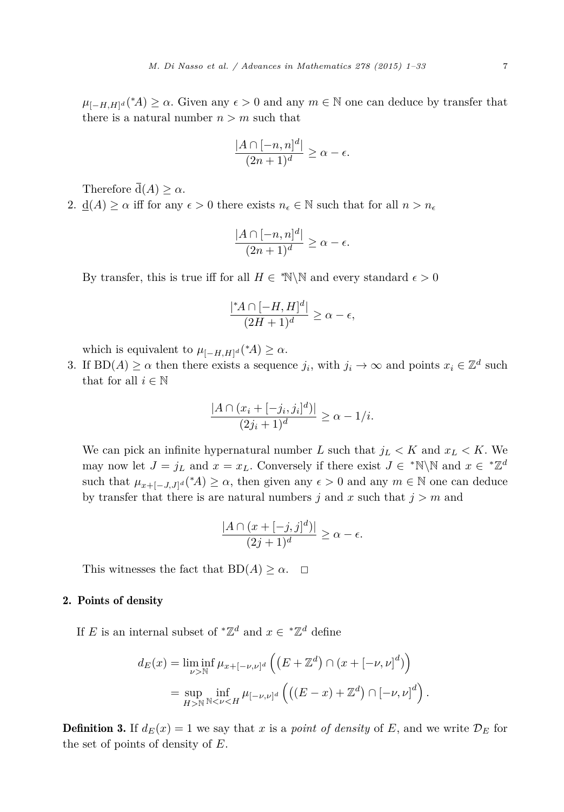<span id="page-6-0"></span> $\mu_{[-H,H]^d}(*A) \ge \alpha$ . Given any  $\epsilon > 0$  and any  $m \in \mathbb{N}$  one can deduce by transfer that there is a natural number  $n > m$  such that

$$
\frac{|A \cap [-n, n]^d|}{(2n+1)^d} \ge \alpha - \epsilon.
$$

Therefore  $\overline{d}(A) > \alpha$ .

2.  $\underline{d}(A) \ge \alpha$  iff for any  $\epsilon > 0$  there exists  $n_{\epsilon} \in \mathbb{N}$  such that for all  $n > n_{\epsilon}$ 

$$
\frac{|A \cap [-n, n]^d|}{(2n+1)^d} \ge \alpha - \epsilon.
$$

By transfer, this is true iff for all  $H \in \mathbb{N} \setminus \mathbb{N}$  and every standard  $\epsilon > 0$ 

$$
\frac{|{}^{\ast}A \cap [-H,H]^d|}{(2H+1)^d} \ge \alpha - \epsilon,
$$

which is equivalent to  $\mu_{[-H,H]^d}({^*A}) \ge \alpha$ .

3. If  $BD(A) \ge \alpha$  then there exists a sequence  $j_i$ , with  $j_i \to \infty$  and points  $x_i \in \mathbb{Z}^d$  such that for all  $i \in \mathbb{N}$ 

$$
\frac{|A \cap (x_i + [-j_i, j_i]^d)|}{(2j_i + 1)^d} \ge \alpha - 1/i.
$$

We can pick an infinite hypernatural number *L* such that  $j_L < K$  and  $x_L < K$ . We may now let  $J = j_L$  and  $x = x_L$ . Conversely if there exist  $J \in {}^* \mathbb{N} \setminus \mathbb{N}$  and  $x \in {}^* \mathbb{Z}^d$ such that  $\mu_{x+[-J,J]^d}$  (\*A)  $\geq \alpha$ , then given any  $\epsilon > 0$  and any  $m \in \mathbb{N}$  one can deduce by transfer that there is are natural numbers  $j$  and  $x$  such that  $j > m$  and

$$
\frac{|A \cap (x + [-j, j]^d)|}{(2j + 1)^d} \ge \alpha - \epsilon.
$$

This witnesses the fact that  $BD(A) \geq \alpha$ .  $\square$ 

# 2. Points of density

If *E* is an internal subset of  $^{\ast} \mathbb{Z}^{d}$  and  $x \in \mathbb{Z}^{d}$  define

$$
d_E(x) = \liminf_{\nu > \mathbb{N}} \mu_{x + [-\nu, \nu]^d} \left( \left( E + \mathbb{Z}^d \right) \cap \left( x + [-\nu, \nu]^d \right) \right)
$$
  
= 
$$
\sup_{H > \mathbb{N}} \inf_{\mathbb{N} < \nu < H} \mu_{[-\nu, \nu]^d} \left( \left( (E - x) + \mathbb{Z}^d \right) \cap \left[ -\nu, \nu \right]^d \right)
$$

*.*

**Definition 3.** If  $d_E(x) = 1$  we say that *x* is a *point* of *density* of *E*, and we write  $\mathcal{D}_E$  for the set of points of density of *E*.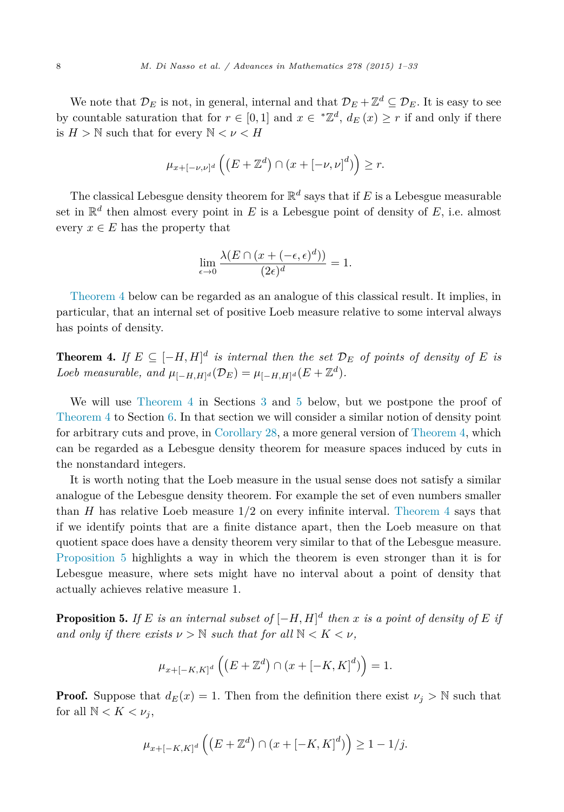<span id="page-7-0"></span>We note that  $\mathcal{D}_E$  is not, in general, internal and that  $\mathcal{D}_E + \mathbb{Z}^d \subseteq \mathcal{D}_E$ . It is easy to see by countable saturation that for  $r \in [0, 1]$  and  $x \in {}^*\mathbb{Z}^d$ ,  $d_E(x) \geq r$  if and only if there is  $H > \mathbb{N}$  such that for every  $\mathbb{N} < \nu < H$ 

$$
\mu_{x+[-\nu,\nu]^d}\left(\left(E+\mathbb{Z}^d\right)\cap\left(x+[-\nu,\nu]^d\right)\right)\geq r.
$$

The classical Lebesgue density theorem for  $\mathbb{R}^d$  says that if *E* is a Lebesgue measurable set in  $\mathbb{R}^d$  then almost every point in *E* is a Lebesgue point of density of *E*, i.e. almost every  $x \in E$  has the property that

$$
\lim_{\epsilon \to 0} \frac{\lambda(E \cap (x + (-\epsilon, \epsilon)^d))}{(2\epsilon)^d} = 1.
$$

Theorem 4 below can be regarded as an analogue of this classical result. It implies, in particular, that an internal set of positive Loeb measure relative to some interval always has points of density.

**Theorem 4.** If  $E \subseteq [-H, H]^d$  is internal then the set  $\mathcal{D}_E$  of points of density of E is *Loeb measurable,* and  $\mu_{[-H,H]^d}(\mathcal{D}_E) = \mu_{[-H,H]^d}(E + \mathbb{Z}^d)$ .

We will use Theorem 4 in Sections [3](#page-12-0) and [5](#page-22-0) below, but we postpone the proof of Theorem 4 to Section [6.](#page-27-0) In that section we will consider a similar notion of density point for arbitrary cuts and prove, in [Corollary 28,](#page-31-0) a more general version of Theorem 4, which can be regarded as a Lebesgue density theorem for measure spaces induced by cuts in the nonstandard integers.

It is worth noting that the Loeb measure in the usual sense does not satisfy a similar analogue of the Lebesgue density theorem. For example the set of even numbers smaller than *H* has relative Loeb measure 1*/*2 on every infinite interval. Theorem 4 says that if we identify points that are a finite distance apart, then the Loeb measure on that quotient space does have a density theorem very similar to that of the Lebesgue measure. Proposition 5 highlights a way in which the theorem is even stronger than it is for Lebesgue measure, where sets might have no interval about a point of density that actually achieves relative measure 1.

**Proposition 5.** If E is an internal subset of  $[-H, H]^d$  then x is a point of density of E if *and only if there exists*  $\nu > \mathbb{N}$  *such that for all*  $\mathbb{N} < K < \nu$ *,* 

$$
\mu_{x+[-K,K]^d}\left(\left(E+\mathbb{Z}^d\right)\cap\left(x+[-K,K]^d\right)\right)=1.
$$

**Proof.** Suppose that  $d_E(x) = 1$ . Then from the definition there exist  $\nu_i > \mathbb{N}$  such that for all  $\mathbb{N} < K < \nu_j$ ,

$$
\mu_{x + [-K, K]^d} \left( \left( E + \mathbb{Z}^d \right) \cap \left( x + [-K, K]^d \right) \right) \ge 1 - 1/j.
$$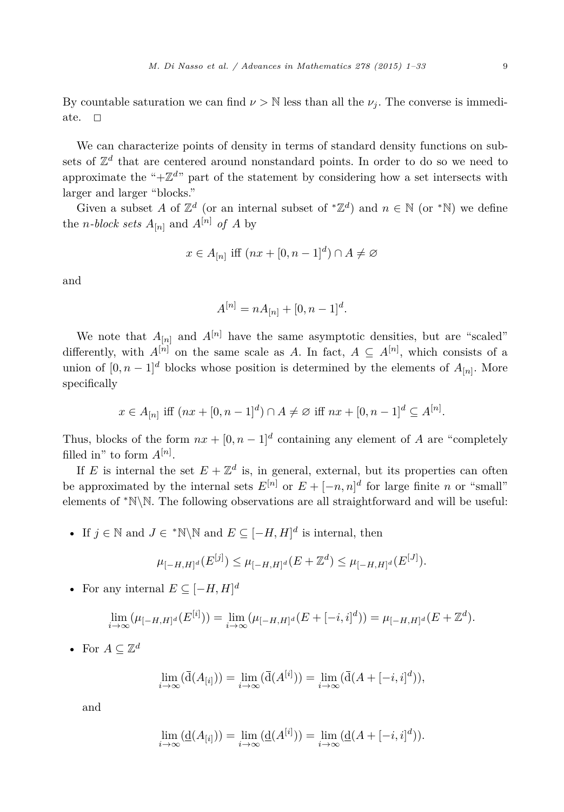By countable saturation we can find  $\nu > \mathbb{N}$  less than all the  $\nu_i$ . The converse is immediate.  $\Box$ 

We can characterize points of density in terms of standard density functions on subsets of  $\mathbb{Z}^d$  that are centered around nonstandard points. In order to do so we need to approximate the " $+\mathbb{Z}^{d}$ " part of the statement by considering how a set intersects with larger and larger "blocks."

Given a subset *A* of  $\mathbb{Z}^d$  (or an internal subset of  $^*\mathbb{Z}^d$ ) and  $n \in \mathbb{N}$  (or  $^*\mathbb{N}$ ) we define the *n*-block sets  $A_{[n]}$  and  $A^{[n]}$  of A by

$$
x \in A_{[n]} \text{ iff } (nx + [0, n-1]^d) \cap A \neq \emptyset
$$

and

$$
A^{[n]} = nA_{[n]} + [0, n-1]^d.
$$

We note that  $A_{[n]}$  and  $A^{[n]}$  have the same asymptotic densities, but are "scaled" differently, with  $A^{[n]}$  on the same scale as *A*. In fact,  $A \subseteq A^{[n]}$ , which consists of a union of  $[0, n-1]^d$  blocks whose position is determined by the elements of  $A_{[n]}$ . More specifically

$$
x \in A_{[n]}
$$
 iff  $(nx + [0, n - 1]^d) \cap A \neq \emptyset$  iff  $nx + [0, n - 1]^d \subseteq A^{[n]}$ .

Thus, blocks of the form  $nx + [0, n - 1]^d$  containing any element of *A* are "completely" filled in" to form  $A^{[n]}$ .

If *E* is internal the set  $E + \mathbb{Z}^d$  is, in general, external, but its properties can often be approximated by the internal sets  $E^{[n]}$  or  $E + [-n, n]^d$  for large finite *n* or "small" elements of <sup>∗</sup>N\N. The following observations are all straightforward and will be useful:

• If  $j \in \mathbb{N}$  and  $J \in \mathbb{N} \setminus \mathbb{N}$  and  $E \subseteq [-H, H]^d$  is internal, then

$$
\mu_{[-H,H]^d}(E^{[j]}) \leq \mu_{[-H,H]^d}(E+\mathbb{Z}^d) \leq \mu_{[-H,H]^d}(E^{[J]}).
$$

• For any internal  $E \subseteq [-H, H]^d$ 

$$
\lim_{i \to \infty} (\mu_{[-H,H]^d}(E^{[i]})) = \lim_{i \to \infty} (\mu_{[-H,H]^d}(E + [-i,i]^d)) = \mu_{[-H,H]^d}(E + \mathbb{Z}^d).
$$

• For  $A \subseteq \mathbb{Z}^d$ 

$$
\lim_{i \to \infty} (\overline{\mathbf{d}}(A_{[i]})) = \lim_{i \to \infty} (\overline{\mathbf{d}}(A^{[i]})) = \lim_{i \to \infty} (\overline{\mathbf{d}}(A + [-i, i]^d)),
$$

and

$$
\lim_{i \to \infty} (\underline{\mathbf{d}}(A_{[i]})) = \lim_{i \to \infty} (\underline{\mathbf{d}}(A^{[i]})) = \lim_{i \to \infty} (\underline{\mathbf{d}}(A + [-i, i]^d)).
$$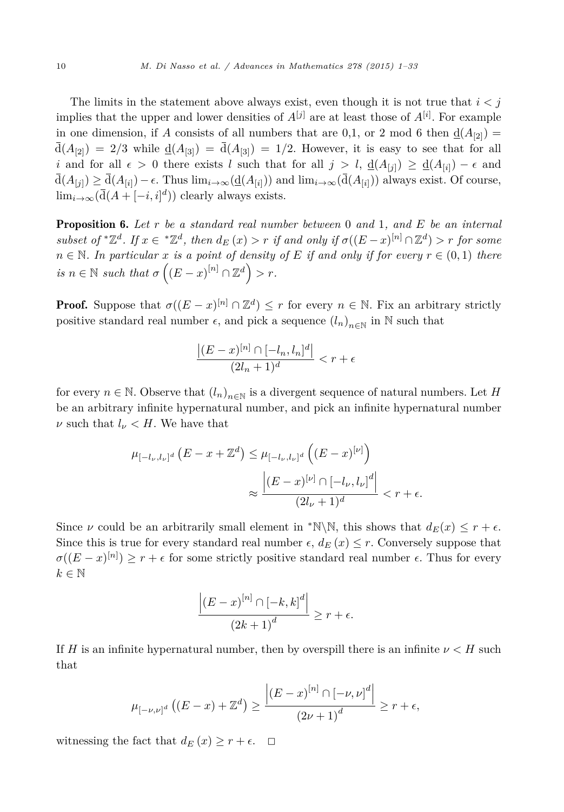The limits in the statement above always exist, even though it is not true that  $i < j$ implies that the upper and lower densities of  $A^{[j]}$  are at least those of  $A^{[i]}$ . For example in one dimension, if *A* consists of all numbers that are 0,1, or 2 mod 6 then  $\underline{d}(A_{[2]}) =$  $\overline{d}(A_{[2]}) = 2/3$  while  $\underline{d}(A_{[3]}) = \overline{d}(A_{[3]}) = 1/2$ . However, it is easy to see that for all *i* and for all  $\epsilon > 0$  there exists *l* such that for all  $j > l$ ,  $\underline{d}(A_{[j]}) \ge \underline{d}(A_{[i]}) - \epsilon$  and  $\overline{d}(A_{[i]}) \geq \overline{d}(A_{[i]}) - \epsilon$ . Thus  $\lim_{i \to \infty} (\underline{d}(A_{[i]}))$  and  $\lim_{i \to \infty} (\overline{d}(A_{[i]}))$  always exist. Of course,  $\lim_{i\to\infty}$ ( $\overline{d}(A + [-i, i]^d)$ ) clearly always exists.

Proposition 6. *Let r be a standard real number between* 0 *and* 1*, and E be an internal* subset of  $Z^d$ . If  $x \in Z^d$ , then  $d_E(x) > r$  if and only if  $\sigma((E-x)^{[n]} \cap \mathbb{Z}^d) > r$  for some  $n \in \mathbb{N}$ . In particular x is a point of density of E if and only if for every  $r \in (0,1)$  there  $is n \in \mathbb{N}$  *such that*  $\sigma\left((E-x)^{[n]} \cap \mathbb{Z}^d\right) > r$ .

**Proof.** Suppose that  $\sigma((E-x)^{[n]} \cap \mathbb{Z}^d) \leq r$  for every  $n \in \mathbb{N}$ . Fix an arbitrary strictly positive standard real number  $\epsilon$ , and pick a sequence  $(l_n)_{n\in\mathbb{N}}$  in N such that

$$
\frac{\left|(E-x)^{[n]}\cap[-l_n,l_n]^d\right|}{(2l_n+1)^d}
$$

for every  $n \in \mathbb{N}$ . Observe that  $(l_n)_{n \in \mathbb{N}}$  is a divergent sequence of natural numbers. Let *H* be an arbitrary infinite hypernatural number, and pick an infinite hypernatural number *ν* such that  $l$ <sup>*ν*</sup>  $\lt$  *H*. We have that

$$
\mu_{[-l_{\nu},l_{\nu}]^{d}}(E - x + \mathbb{Z}^{d}) \leq \mu_{[-l_{\nu},l_{\nu}]^{d}}((E - x)^{[\nu]})
$$

$$
\approx \frac{\left|(E - x)^{[\nu]} \cap [-l_{\nu},l_{\nu}]^{d}\right|}{(2l_{\nu} + 1)^{d}} < r + \epsilon.
$$

Since  $\nu$  could be an arbitrarily small element in \*N\N, this shows that  $d_E(x) \leq r + \epsilon$ . Since this is true for every standard real number  $\epsilon$ ,  $d_E(x) \leq r$ . Conversely suppose that  $\sigma((E-x)^{[n]}) \ge r + \epsilon$  for some strictly positive standard real number  $\epsilon$ . Thus for every  $k \in \mathbb{N}$ 

$$
\frac{\left|(E-x)^{[n]}\cap[-k,k]^d\right|}{\left(2k+1\right)^d}\geq r+\epsilon.
$$

If *H* is an infinite hypernatural number, then by overspill there is an infinite  $\nu < H$  such that

$$
\mu_{[-\nu,\nu]^d}\left( (E-x) + \mathbb{Z}^d \right) \ge \frac{\left| (E-x)^{[n]} \cap [-\nu,\nu]^d \right|}{\left(2\nu+1\right)^d} \ge r+\epsilon,
$$

witnessing the fact that  $d_E(x) \geq r + \epsilon$ .  $\Box$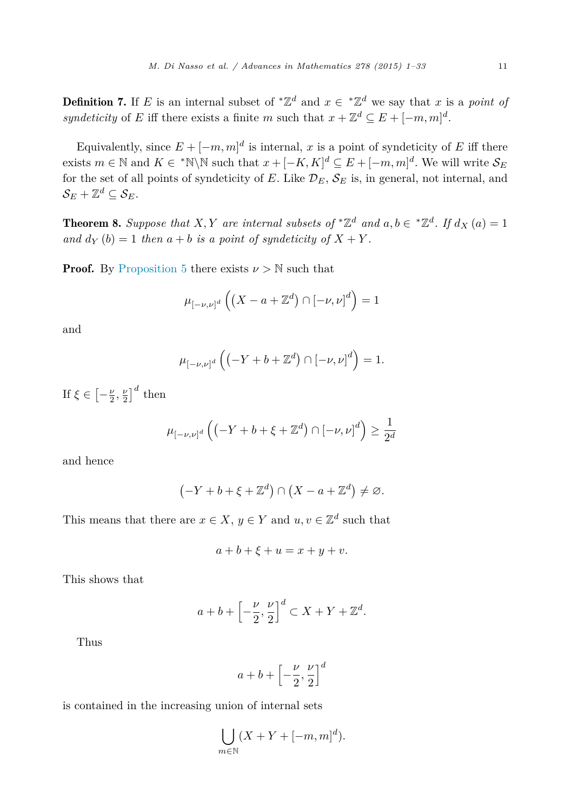<span id="page-10-0"></span>**Definition 7.** If *E* is an internal subset of  $^*\mathbb{Z}^d$  and  $x \in \mathbb{Z}^d$  we say that *x* is a *point* of *syndeticity* of *E* iff there exists a finite *m* such that  $x + \mathbb{Z}^d \subseteq E + [-m, m]^d$ .

Equivalently, since  $E + [-m, m]^d$  is internal, *x* is a point of syndeticity of *E* iff there exists  $m \in \mathbb{N}$  and  $K \in \mathbb{N} \setminus \mathbb{N}$  such that  $x + [-K, K]^d \subseteq E + [-m, m]^d$ . We will write  $\mathcal{S}_E$ for the set of all points of syndeticity of  $E$ . Like  $\mathcal{D}_E$ ,  $\mathcal{S}_E$  is, in general, not internal, and  $S_E + \mathbb{Z}^d \subseteq S_E$ .

**Theorem 8.** Suppose that X, Y are internal subsets of  $^*\mathbb{Z}^d$  and  $a, b \in \mathbb{Z}^d$ . If  $d_X(a) = 1$ *and*  $d_Y(b) = 1$  *then*  $a + b$  *is a point of syndeticity of*  $X + Y$ *.* 

**Proof.** By [Proposition 5](#page-7-0) there exists  $\nu > N$  such that

$$
\mu_{[-\nu,\nu]^d}\left(\left(X-a+\mathbb{Z}^d\right)\cap[-\nu,\nu]^d\right)=1
$$

and

$$
\mu_{[-\nu,\nu]^d}\left(\left(-Y+b+\mathbb{Z}^d\right)\cap\left[-\nu,\nu\right]^d\right)=1.
$$

If  $\xi \in \left[ -\frac{\nu}{2}, \frac{\nu}{2} \right]^d$  then

$$
\mu_{[-\nu,\nu]^d}\left(\left(-Y+b+\xi+\mathbb{Z}^d\right)\cap\left[-\nu,\nu\right]^d\right)\geq\frac{1}{2^d}
$$

and hence

$$
(-Y + b + \xi + \mathbb{Z}^d) \cap (X - a + \mathbb{Z}^d) \neq \varnothing.
$$

This means that there are  $x \in X$ ,  $y \in Y$  and  $u, v \in \mathbb{Z}^d$  such that

$$
a+b+\xi+u=x+y+v.
$$

This shows that

$$
a+b+\left[-\frac{\nu}{2},\frac{\nu}{2}\right]^d \subset X+Y+\mathbb{Z}^d.
$$

Thus

$$
a+b+\left[-\frac{\nu}{2},\frac{\nu}{2}\right]^d
$$

is contained in the increasing union of internal sets

$$
\bigcup_{m \in \mathbb{N}} (X + Y + [-m, m]^d).
$$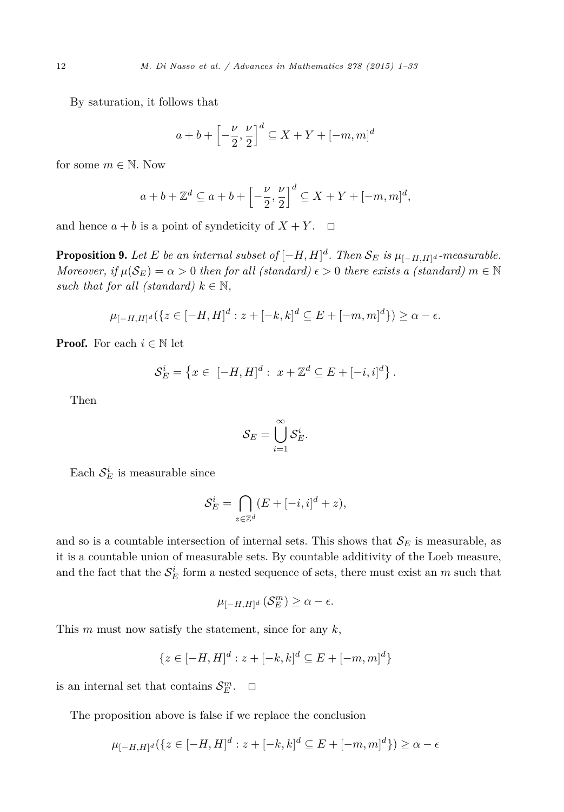<span id="page-11-0"></span>By saturation, it follows that

$$
a+b+\left[-\frac{\nu}{2},\frac{\nu}{2}\right]^d \subseteq X+Y+[-m,m]^d
$$

for some  $m \in \mathbb{N}$ . Now

$$
a+b+\mathbb{Z}^d \subseteq a+b+\left[-\frac{\nu}{2},\frac{\nu}{2}\right]^d \subseteq X+Y+[-m,m]^d,
$$

and hence  $a + b$  is a point of syndeticity of  $X + Y$ .  $\Box$ 

**Proposition 9.** Let E be an internal subset of  $[-H, H]^d$ . Then  $\mathcal{S}_E$  is  $\mu_{[-H, H]^d}$  -measurable. *Moreover, if*  $\mu(S_E) = \alpha > 0$  *then for all (standard)*  $\epsilon > 0$  *there exists a (standard)*  $m \in \mathbb{N}$ *such that for all (standard)*  $k \in \mathbb{N}$ ,

$$
\mu_{[-H,H]^d}(\{z \in [-H,H]^d : z + [-k,k]^d \subseteq E + [-m,m]^d\}) \ge \alpha - \epsilon.
$$

**Proof.** For each  $i \in \mathbb{N}$  let

$$
\mathcal{S}_E^i = \left\{ x \in [-H, H]^d : x + \mathbb{Z}^d \subseteq E + [-i, i]^d \right\}.
$$

Then

$$
\mathcal{S}_E = \bigcup_{i=1}^\infty \mathcal{S}^i_E.
$$

Each  $S_E^i$  is measurable since

$$
\mathcal{S}_E^i = \bigcap_{z \in \mathbb{Z}^d} (E + [-i, i]^d + z),
$$

and so is a countable intersection of internal sets. This shows that  $\mathcal{S}_E$  is measurable, as it is a countable union of measurable sets. By countable additivity of the Loeb measure, and the fact that the  $\mathcal{S}_E^i$  form a nested sequence of sets, there must exist an  $m$  such that

$$
\mu_{[-H,H]^d}(\mathcal{S}_E^m) \ge \alpha - \epsilon.
$$

This *m* must now satisfy the statement, since for any *k*,

$$
\{z \in [-H, H]^d : z + [-k, k]^d \subseteq E + [-m, m]^d\}
$$

is an internal set that contains  $\mathcal{S}_E^m$ .  $\Box$ 

The proposition above is false if we replace the conclusion

$$
\mu_{[-H,H]^d}(\{z \in [-H,H]^d : z + [-k,k]^d \subseteq E + [-m,m]^d\}) \ge \alpha - \epsilon
$$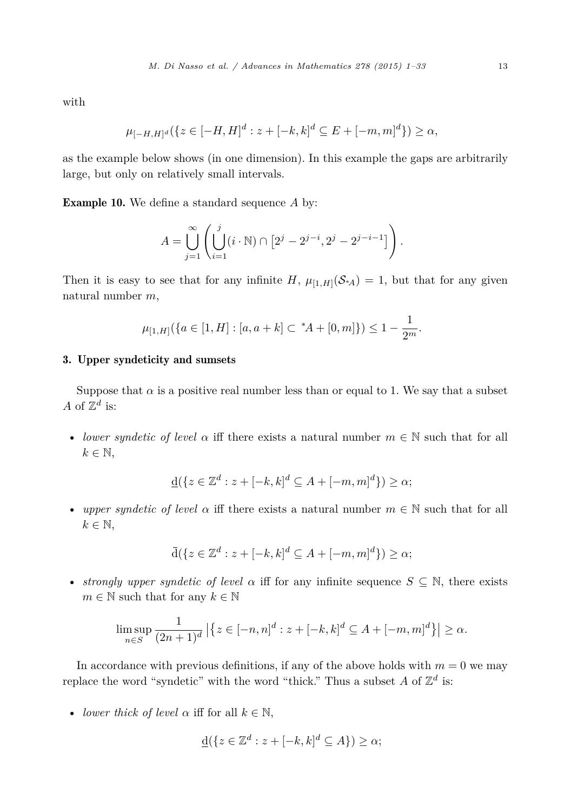<span id="page-12-0"></span>with

$$
\mu_{[-H,H]^d}(\{z \in [-H,H]^d : z + [-k,k]^d \subseteq E + [-m,m]^d\}) \ge \alpha,
$$

as the example below shows (in one dimension). In this example the gaps are arbitrarily large, but only on relatively small intervals.

Example 10. We define a standard sequence *A* by:

$$
A = \bigcup_{j=1}^{\infty} \left( \bigcup_{i=1}^{j} (i \cdot \mathbb{N}) \cap [2^{j} - 2^{j-i}, 2^{j} - 2^{j-i-1}] \right).
$$

Then it is easy to see that for any infinite  $H$ ,  $\mu_{[1,H]}(S<sub>A</sub>) = 1$ , but that for any given natural number *m*,

$$
\mu_{[1,H]}(\{a \in [1,H] : [a,a+k] \subset {}^{\ast}A + [0,m]\}) \leq 1 - \frac{1}{2^m}.
$$

### 3. Upper syndeticity and sumsets

Suppose that  $\alpha$  is a positive real number less than or equal to 1. We say that a subset *A* of  $\mathbb{Z}^d$  is:

• *lower syndetic of level*  $\alpha$  iff there exists a natural number  $m \in \mathbb{N}$  such that for all  $k \in \mathbb{N}$ ,

$$
\underline{\mathbf{d}}(\{z \in \mathbb{Z}^d : z + [-k, k]^d \subseteq A + [-m, m]^d\}) \ge \alpha;
$$

• *upper syndetic of level*  $\alpha$  iff there exists a natural number  $m \in \mathbb{N}$  such that for all  $k \in \mathbb{N}$ ,

$$
\overline{\mathrm{d}}(\{z \in \mathbb{Z}^d : z + [-k, k]^d \subseteq A + [-m, m]^d\}) \ge \alpha;
$$

• *strongly upper syndetic of level*  $\alpha$  iff for any infinite sequence  $S \subseteq \mathbb{N}$ , there exists  $m \in \mathbb{N}$  such that for any  $k \in \mathbb{N}$ 

$$
\limsup_{n \in S} \frac{1}{(2n+1)^d} | \{ z \in [-n, n]^d : z + [-k, k]^d \subseteq A + [-m, m]^d \} | \ge \alpha.
$$

In accordance with previous definitions, if any of the above holds with  $m = 0$  we may replace the word "syndetic" with the word "thick." Thus a subset  $A$  of  $\mathbb{Z}^d$  is:

• *lower thick of level*  $\alpha$  iff for all  $k \in \mathbb{N}$ ,

$$
\underline{\mathbf{d}}(\{z \in \mathbb{Z}^d : z + [-k, k]^d \subseteq A\}) \ge \alpha;
$$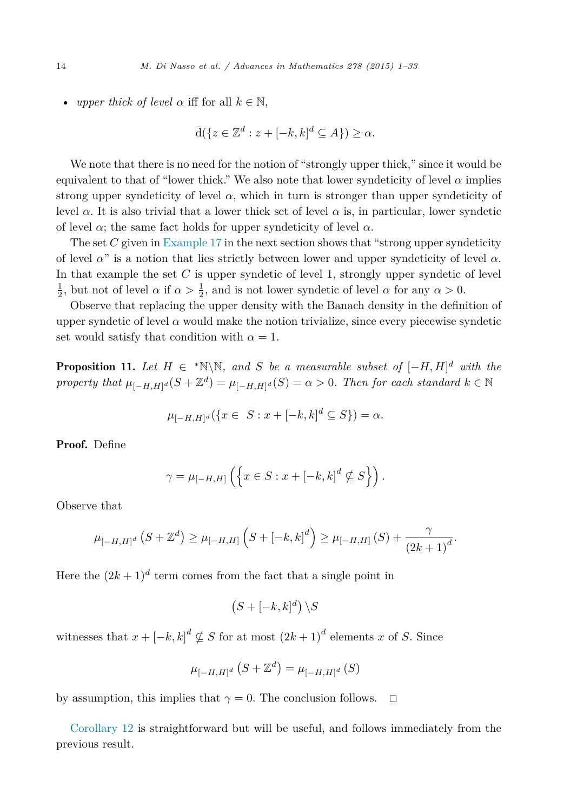<span id="page-13-0"></span>• *upper thick of level*  $\alpha$  iff for all  $k \in \mathbb{N}$ ,

$$
\overline{\mathrm{d}}(\{z \in \mathbb{Z}^d : z + [-k, k]^d \subseteq A\}) \ge \alpha.
$$

We note that there is no need for the notion of "strongly upper thick," since it would be equivalent to that of "lower thick." We also note that lower syndeticity of level  $\alpha$  implies strong upper syndeticity of level  $\alpha$ , which in turn is stronger than upper syndeticity of level *α*. It is also trivial that a lower thick set of level *α* is, in particular, lower syndetic of level  $\alpha$ ; the same fact holds for upper syndeticity of level  $\alpha$ .

The set *C* given in [Example 17](#page-17-0) in the next section shows that "strong upper syndeticity of level *α*" is a notion that lies strictly between lower and upper syndeticity of level *α*. In that example the set *C* is upper syndetic of level 1, strongly upper syndetic of level  $\frac{1}{2}$ , but not of level *α* if  $\alpha > \frac{1}{2}$ , and is not lower syndetic of level *α* for any  $\alpha > 0$ .

Observe that replacing the upper density with the Banach density in the definition of upper syndetic of level  $\alpha$  would make the notion trivialize, since every piecewise syndetic set would satisfy that condition with  $\alpha = 1$ .

**Proposition 11.** Let  $H \in \mathbb{N} \setminus \mathbb{N}$ , and *S* be a measurable subset of  $[-H, H]^d$  with the *property that*  $\mu_{[-H,H]^d}(S + \mathbb{Z}^d) = \mu_{[-H,H]^d}(S) = \alpha > 0$ . *Then for each standard*  $k \in \mathbb{N}$ 

$$
\mu_{[-H,H]^d}(\{x \in S : x + [-k,k]^d \subseteq S\}) = \alpha.
$$

Proof. Define

$$
\gamma = \mu_{[-H,H]} \left( \left\{ x \in S : x + [-k, k]^d \nsubseteq S \right\} \right).
$$

Observe that

$$
\mu_{[-H,H]^d} (S + \mathbb{Z}^d) \ge \mu_{[-H,H]} \left( S + [-k,k]^d \right) \ge \mu_{[-H,H]} \left( S \right) + \frac{\gamma}{(2k+1)^d}.
$$

Here the  $(2k+1)^d$  term comes from the fact that a single point in

$$
(S+[-k,k]^d)\setminus S
$$

witnesses that  $x + [-k, k]^d \nsubseteq S$  for at most  $(2k+1)^d$  elements *x* of *S*. Since

$$
\mu_{[-H,H]^{d}}\left(S+\mathbb{Z}^{d}\right)=\mu_{[-H,H]^{d}}\left(S\right)
$$

by assumption, this implies that  $\gamma = 0$ . The conclusion follows.  $\Box$ 

[Corollary 12](#page-14-0) is straightforward but will be useful, and follows immediately from the previous result.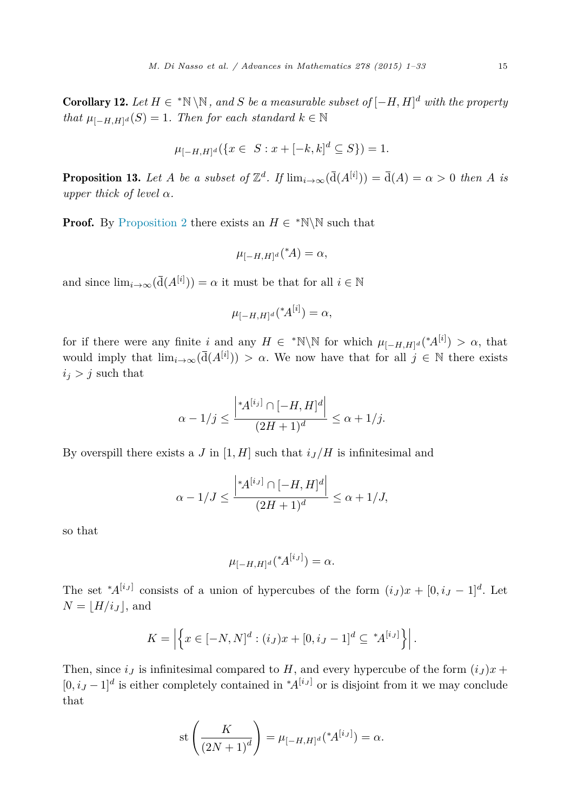<span id="page-14-0"></span>Corollary 12. *Let H* ∈ <sup>∗</sup>N \N*, and S be a measurable subset of* [−*H, H*] *<sup>d</sup> with the property that*  $\mu_{[-H,H]^d}(S) = 1$ *. Then for each standard*  $k \in \mathbb{N}$ 

$$
\mu_{[-H,H]^d}(\{x \in S : x + [-k,k]^d \subseteq S\}) = 1.
$$

**Proposition 13.** Let *A* be a subset of  $\mathbb{Z}^d$ . If  $\lim_{i\to\infty}(\overline{d}(A^{[i]})) = \overline{d}(A) = \alpha > 0$  then *A* is *upper thick of level*  $\alpha$ *.* 

**Proof.** By [Proposition 2](#page-5-0) there exists an  $H \in \mathbb{N} \setminus \mathbb{N}$  such that

$$
\mu_{[-H,H]^d}({}^{\ast}A) = \alpha,
$$

and since  $\lim_{i \to \infty} (\overline{d}(A^{[i]})) = \alpha$  it must be that for all  $i \in \mathbb{N}$ 

$$
\mu_{[-H,H]^d}({}^{\ast}\!A^{[i]}) = \alpha,
$$

for if there were any finite *i* and any  $H \in {}^*N\N$  for which  $\mu_{[-H,H]^d}({^*A}^{[i]}) > \alpha$ , that would imply that  $\lim_{i\to\infty}(\bar{d}(A^{[i]})) > \alpha$ . We now have that for all  $j \in \mathbb{N}$  there exists  $i_j > j$  such that

$$
\alpha - 1/j \le \frac{\left| A^{[i_j]} \cap [-H, H]^d \right|}{(2H + 1)^d} \le \alpha + 1/j.
$$

By overspill there exists a *J* in [1, *H*] such that  $i_J/H$  is infinitesimal and

$$
\alpha - 1/J \le \frac{\left| *A^{[i,j]} \cap [-H, H]^d \right|}{(2H + 1)^d} \le \alpha + 1/J,
$$

so that

$$
\mu_{[-H,H]^d}({^*\!A}^{[i_J]}) = \alpha.
$$

The set  $^*A^{[i,j]}$  consists of a union of hypercubes of the form  $(i_J)x + [0, i_J - 1]^d$ . Let  $N = |H/i_J|$ , and

$$
K = \left| \left\{ x \in [-N, N]^d : (i_J) x + [0, i_J - 1]^d \subseteq {}^*A^{[i_J]} \right\} \right|.
$$

Then, since  $i<sub>I</sub>$  is infinitesimal compared to *H*, and every hypercube of the form  $(i<sub>I</sub>)x +$  $[0, i<sub>J</sub> - 1]<sup>d</sup>$  is either completely contained in  $^*A^{[i<sub>J</sub>]}$  or is disjoint from it we may conclude that

st 
$$
\left(\frac{K}{(2N+1)^d}\right) = \mu_{[-H,H]^d}({^*A}^{[i_J]}) = \alpha.
$$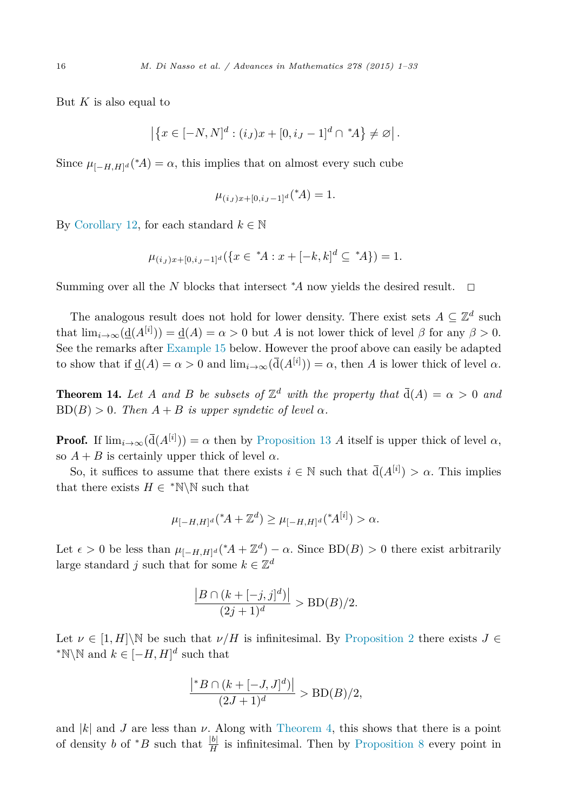<span id="page-15-0"></span>But *K* is also equal to

$$
|\{x \in [-N, N]^d : (i_J)x + [0, i_J - 1]^d \cap {}^*A\} \neq \varnothing|.
$$

Since  $\mu_{[-H,H]^d}({^*A}) = \alpha$ , this implies that on almost every such cube

$$
\mu_{(i,j)x+[0,i,j-1]^d}({}^{\ast}A) = 1.
$$

By [Corollary 12,](#page-14-0) for each standard  $k \in \mathbb{N}$ 

$$
\mu_{(i,j)x+[0,i,j-1]^d}(\{x \in {}^*A : x + [-k,k]^d \subseteq {}^*A\}) = 1.
$$

Summing over all the *N* blocks that intersect <sup>∗</sup> *<sup>A</sup>* now yields the desired result. ✷

The analogous result does not hold for lower density. There exist sets  $A \subseteq \mathbb{Z}^d$  such that  $\lim_{i\to\infty}(\underline{\mathbf{d}}(A^{[i]})) = \underline{\mathbf{d}}(A) = \alpha > 0$  but *A* is not lower thick of level  $\beta$  for any  $\beta > 0$ . See the remarks after [Example 15](#page-16-0) below. However the proof above can easily be adapted to show that if  $\underline{d}(A) = \alpha > 0$  and  $\lim_{i \to \infty} (\overline{d}(A^{[i]})) = \alpha$ , then *A* is lower thick of level  $\alpha$ .

**Theorem 14.** Let *A* and *B* be subsets of  $\mathbb{Z}^d$  with the property that  $\overline{d}(A) = \alpha > 0$  and  $BD(B) > 0$ *. Then*  $A + B$  *is upper syndetic of level*  $\alpha$ *.* 

**Proof.** If  $\lim_{i\to\infty}(\bar{d}(A^{[i]})) = \alpha$  then by [Proposition 13](#page-14-0) *A* itself is upper thick of level  $\alpha$ , so  $A + B$  is certainly upper thick of level  $\alpha$ .

So, it suffices to assume that there exists  $i \in \mathbb{N}$  such that  $\overline{d}(A^{[i]}) > \alpha$ . This implies that there exists  $H \in \mathbb{N} \setminus \mathbb{N}$  such that

$$
\mu_{[-H,H]^d}({}^{\ast}A+\mathbb{Z}^d) \geq \mu_{[-H,H]^d}({}^{\ast}A^{[i]}) > \alpha.
$$

Let  $\epsilon > 0$  be less than  $\mu_{[-H,H]^d}({^*A} + \mathbb{Z}^d) - \alpha$ . Since  $BD(B) > 0$  there exist arbitrarily large standard *j* such that for some  $k \in \mathbb{Z}^d$ 

$$
\frac{|B \cap (k + [-j, j]^d)|}{(2j + 1)^d} > BD(B)/2.
$$

Let  $\nu \in [1, H]\backslash\mathbb{N}$  be such that  $\nu/H$  is infinitesimal. By [Proposition 2](#page-5-0) there exists  $J \in$  $*N\N$  and  $k \in [-H, H]^d$  such that

$$
\frac{\left|{^*B} \cap (k + [-J, J]^d)\right|}{(2J + 1)^d} > \text{BD}(B)/2,
$$

and  $|k|$  and *J* are less than  $\nu$ . Along with [Theorem 4,](#page-7-0) this shows that there is a point of density *b* of \**B* such that  $\frac{|b|}{H}$  is infinitesimal. Then by [Proposition 8](#page-10-0) every point in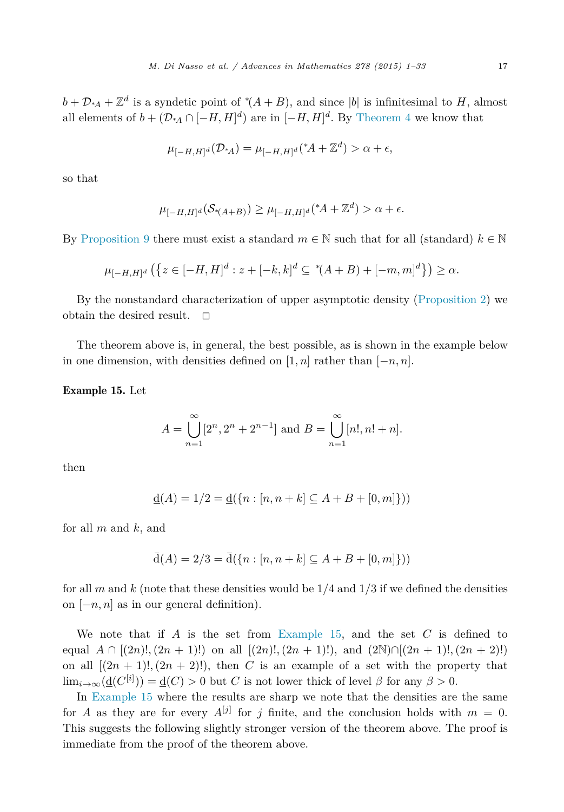$$
\mu_{[-H,H]^d}(\mathcal{D}_{*A}) = \mu_{[-H,H]^d}({}^{\ast}A + \mathbb{Z}^d) > \alpha + \epsilon,
$$

<span id="page-16-0"></span>so that

$$
\mu_{[-H,H]^d}(\mathcal{S}_{\mathcal{A}(A+B)}) \ge \mu_{[-H,H]^d}(\mathcal{A} + \mathbb{Z}^d) > \alpha + \epsilon.
$$

By [Proposition 9](#page-11-0) there must exist a standard  $m \in \mathbb{N}$  such that for all (standard)  $k \in \mathbb{N}$ 

$$
\mu_{[-H,H]^d} \left( \left\{ z \in [-H,H]^d : z + [-k,k]^d \subseteq {}^{\ast}(A+B) + [-m,m]^d \right\} \right) \ge \alpha.
$$

By the nonstandard characterization of upper asymptotic density [\(Proposition 2\)](#page-5-0) we obtain the desired result.  $\square$ 

The theorem above is, in general, the best possible, as is shown in the example below in one dimension, with densities defined on  $[1, n]$  rather than  $[-n, n]$ .

Example 15. Let

$$
A = \bigcup_{n=1}^{\infty} [2^n, 2^n + 2^{n-1}] \text{ and } B = \bigcup_{n=1}^{\infty} [n!, n! + n].
$$

then

$$
\underline{\mathbf{d}}(A) = 1/2 = \underline{\mathbf{d}}(\{n : [n, n+k] \subseteq A + B + [0, m]\}))
$$

for all *m* and *k*, and

$$
\overline{d}(A) = 2/3 = \overline{d}(\{n : [n, n+k] \subseteq A+B+[0,m]\}))
$$

for all *m* and *k* (note that these densities would be 1*/*4 and 1*/*3 if we defined the densities on [−*n, n*] as in our general definition).

We note that if *A* is the set from Example 15, and the set *C* is defined to equal  $A \cap [(2n)!,(2n+1)!)$  on all  $[(2n)!,(2n+1)!)$ , and  $(2\mathbb{N})\cap [(2n+1)!,(2n+2)!)$ on all  $[(2n + 1)!,(2n + 2)!]$ , then *C* is an example of a set with the property that  $\lim_{i\to\infty}(\underline{\mathbf{d}}(C^{[i]})) = \underline{\mathbf{d}}(C) > 0$  but *C* is not lower thick of level  $\beta$  for any  $\beta > 0$ .

In Example 15 where the results are sharp we note that the densities are the same for *A* as they are for every  $A^{[j]}$  for *j* finite, and the conclusion holds with  $m = 0$ . This suggests the following slightly stronger version of the theorem above. The proof is immediate from the proof of the theorem above.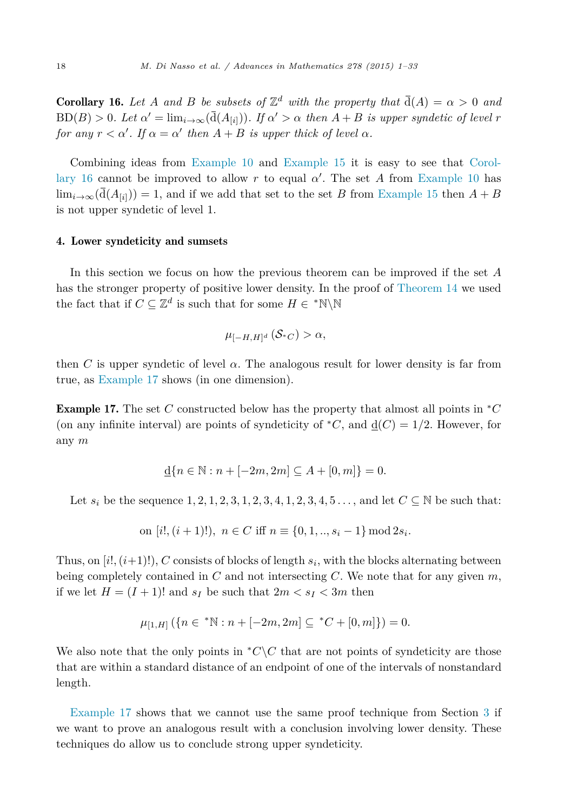<span id="page-17-0"></span>**Corollary 16.** Let A and B be subsets of  $\mathbb{Z}^d$  with the property that  $\overline{d}(A) = \alpha > 0$  and  $BD(B) > 0$ . Let  $\alpha' = \lim_{i \to \infty} (\overline{d}(A_{[i]}))$ . If  $\alpha' > \alpha$  then  $A + B$  is upper syndetic of level r *for any*  $r < \alpha'$ . If  $\alpha = \alpha'$  then  $A + B$  *is upper thick of level*  $\alpha$ *.* 

Combining ideas from [Example 10](#page-12-0) and [Example 15](#page-16-0) it is easy to see that Corollary 16 cannot be improved to allow *r* to equal *α*′ . The set *A* from [Example 10](#page-12-0) has  $\lim_{i\to\infty}(\overline{d}(A_{[i]}))=1$ , and if we add that set to the set *B* from [Example 15](#page-16-0) then  $A+B$ is not upper syndetic of level 1.

#### 4. Lower syndeticity and sumsets

In this section we focus on how the previous theorem can be improved if the set *A* has the stronger property of positive lower density. In the proof of [Theorem 14](#page-15-0) we used the fact that if  $C \subseteq \mathbb{Z}^d$  is such that for some  $H \in {}^* \mathbb{N} \backslash \mathbb{N}$ 

$$
\mu_{[-H,H]^d}(\mathcal{S}_{\ast C}) > \alpha,
$$

then *C* is upper syndetic of level *α*. The analogous result for lower density is far from true, as Example 17 shows (in one dimension).

Example 17. The set *C* constructed below has the property that almost all points in <sup>∗</sup>*C* (on any infinite interval) are points of syndeticity of  ${}^*C$ , and  $d(C) = 1/2$ . However, for any *m*

$$
\underline{\mathbf{d}}\{n \in \mathbb{N} : n + [-2m, 2m] \subseteq A + [0, m]\} = 0.
$$

Let  $s_i$  be the sequence  $1, 2, 1, 2, 3, 1, 2, 3, 4, 1, 2, 3, 4, 5, \ldots$ , and let  $C \subseteq \mathbb{N}$  be such that:

on 
$$
[i!
$$
,  $(i + 1)!$ ),  $n \in C$  iff  $n \equiv \{0, 1, ..., s_i - 1\}$  mod  $2s_i$ .

Thus, on  $[i, (i+1)!]$ , *C* consists of blocks of length  $s_i$ , with the blocks alternating between being completely contained in *C* and not intersecting *C*. We note that for any given *m*, if we let  $H = (I + 1)!$  and  $s_I$  be such that  $2m < s_I < 3m$  then

$$
\mu_{[1,H]}\left(\{n \in {}^*\mathbb{N} : n+[-2m,2m] \subseteq {}^*C + [0,m]\}\right) = 0.
$$

We also note that the only points in  ${}^*C\backslash C$  that are not points of syndeticity are those that are within a standard distance of an endpoint of one of the intervals of nonstandard length.

Example 17 shows that we cannot use the same proof technique from Section [3](#page-12-0) if we want to prove an analogous result with a conclusion involving lower density. These techniques do allow us to conclude strong upper syndeticity.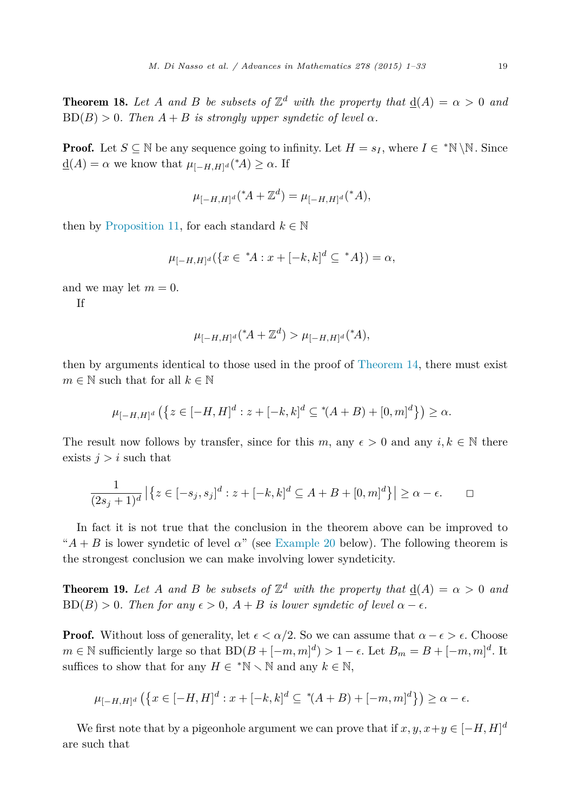<span id="page-18-0"></span>**Theorem 18.** Let *A* and *B* be *subsets* of  $\mathbb{Z}^d$  with the property that  $d(A) = \alpha > 0$  and  $BD(B) > 0$ *. Then*  $A + B$  *is strongly upper syndetic of level*  $\alpha$ *.* 

**Proof.** Let  $S \subseteq \mathbb{N}$  be any sequence going to infinity. Let  $H = s_I$ , where  $I \in {^*}\mathbb{N} \setminus \mathbb{N}$ . Since  $\underline{d}(A) = \alpha$  we know that  $\mu_{[-H,H]^d}({^*A}) \geq \alpha$ . If

$$
\mu_{[-H,H]^d}({}^{\ast}A + \mathbb{Z}^d) = \mu_{[-H,H]^d}({}^{\ast}A),
$$

then by [Proposition 11,](#page-13-0) for each standard  $k \in \mathbb{N}$ 

$$
\mu_{[-H,H]^d}(\{x \in {}^*A : x + [-k,k]^d \subseteq {}^*A\}) = \alpha,
$$

and we may let  $m = 0$ .

If

$$
\mu_{[-H,H]^d}({}^{\ast}A + \mathbb{Z}^d) > \mu_{[-H,H]^d}({}^{\ast}A),
$$

then by arguments identical to those used in the proof of [Theorem 14,](#page-15-0) there must exist  $m \in \mathbb{N}$  such that for all  $k \in \mathbb{N}$ 

$$
\mu_{[-H,H]^d}(\{z \in [-H,H]^d : z + [-k,k]^d \subseteq {}^{\ast}(A+B) + [0,m]^d\}) \ge \alpha.
$$

The result now follows by transfer, since for this *m*, any  $\epsilon > 0$  and any  $i, k \in \mathbb{N}$  there exists  $j>i$  such that

$$
\frac{1}{(2s_j+1)^d} |\{z \in [-s_j, s_j]^d : z + [-k, k]^d \subseteq A + B + [0, m]^d\}| \ge \alpha - \epsilon.
$$

In fact it is not true that the conclusion in the theorem above can be improved to " $A + B$  is lower syndetic of level  $\alpha$ " (see [Example 20](#page-20-0) below). The following theorem is the strongest conclusion we can make involving lower syndeticity.

**Theorem 19.** Let *A* and *B* be subsets of  $\mathbb{Z}^d$  with the property that  $d(A) = \alpha > 0$  and  $BD(B) > 0$ . Then for any  $\epsilon > 0$ ,  $A + B$  is lower syndetic of level  $\alpha - \epsilon$ .

**Proof.** Without loss of generality, let  $\epsilon < \alpha/2$ . So we can assume that  $\alpha - \epsilon > \epsilon$ . Choose *m* ∈ N sufficiently large so that  $BD(B + [-m, m]^d) > 1 - \epsilon$ . Let  $B_m = B + [-m, m]^d$ . It suffices to show that for any  $H \in {}^*{\mathbb{N}} \setminus {\mathbb{N}}$  and any  $k \in {\mathbb{N}}$ ,

$$
\mu_{[-H,H]^d} (\{ x \in [-H,H]^d : x + [-k,k]^d \subseteq {}^{\ast}(A+B) + [-m,m]^d \}) \ge \alpha - \epsilon.
$$

We first note that by a pigeonhole argument we can prove that if  $x, y, x+y \in [-H, H]^d$ are such that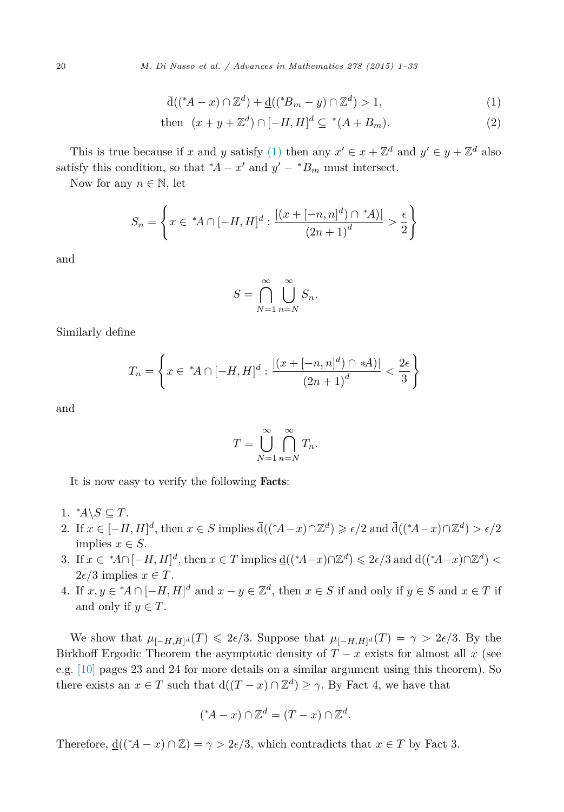<span id="page-19-0"></span>20 *M. Di Nasso et al. / Advances in Mathematics 278 (2015) 1–33*

$$
\overline{d}((^*A - x) \cap \mathbb{Z}^d) + \underline{d}((^*B_m - y) \cap \mathbb{Z}^d) > 1,\tag{1}
$$

then 
$$
(x + y + \mathbb{Z}^d) \cap [-H, H]^d \subseteq {}^*(A + B_m).
$$
 (2)

This is true because if *x* and *y* satisfy (1) then any  $x' \in x + \mathbb{Z}^d$  and  $y' \in y + \mathbb{Z}^d$  also satisfy this condition, so that  $^*A - x'$  and  $y' - ^*B_m$  must intersect.

Now for any  $n \in \mathbb{N}$ , let

$$
S_n = \left\{ x \in {^*A} \cap [-H, H]^d : \frac{|(x + [-n, n]^d) \cap {^*A})|}{(2n + 1)^d} > \frac{\epsilon}{2} \right\}
$$

and

$$
S = \bigcap_{N=1}^{\infty} \bigcup_{n=N}^{\infty} S_n.
$$

Similarly define

$$
T_n = \left\{ x \in {^*A} \cap [-H, H]^d : \frac{|(x + [-n, n]^d) \cap A}{(2n + 1)^d} < \frac{2\epsilon}{3} \right\}
$$

and

$$
T = \bigcup_{N=1}^{\infty} \bigcap_{n=N}^{\infty} T_n.
$$

It is now easy to verify the following Facts:

- 1.  $^*A \setminus S \subseteq T$ .
- 2. If  $x \in [-H, H]^d$ , then  $x \in S$  implies  $\overline{d}(({}^*A x) \cap \mathbb{Z}^d) \ge \epsilon/2$  and  $\overline{d}(({}^*A x) \cap \mathbb{Z}^d) > \epsilon/2$ implies  $x \in S$ .
- 3. If  $x \in {}^{\ast}A \cap [-H, H]^d$ , then  $x \in T$  implies  $\underline{d}(({}^{\ast}A-x) \cap \mathbb{Z}^d) \leq 2\epsilon/3$  and  $\overline{d}(({}^{\ast}A-x) \cap \mathbb{Z}^d)$  $2\epsilon/3$  implies  $x \in T$ .
- 4. If  $x, y \in {}^*A \cap [-H, H]^d$  and  $x y \in \mathbb{Z}^d$ , then  $x \in S$  if and only if  $y \in S$  and  $x \in T$  if and only if  $y \in T$ .

We show that  $\mu_{[-H,H]^d}(T) \leq 2\epsilon/3$ . Suppose that  $\mu_{[-H,H]^d}(T) = \gamma > 2\epsilon/3$ . By the Birkhoff Ergodic Theorem the asymptotic density of  $T - x$  exists for almost all  $x$  (see e.g. [\[10\]](#page-32-0) pages 23 and 24 for more details on a similar argument using this theorem). So there exists an  $x \in T$  such that  $d((T - x) \cap \mathbb{Z}^d) \geq \gamma$ . By Fact 4, we have that

$$
({}^{\ast}A - x) \cap \mathbb{Z}^d = (T - x) \cap \mathbb{Z}^d.
$$

Therefore,  $\underline{d}(({}^{\ast}A - x) \cap \mathbb{Z}) = \gamma > 2\epsilon/3$ , which contradicts that  $x \in T$  by Fact 3.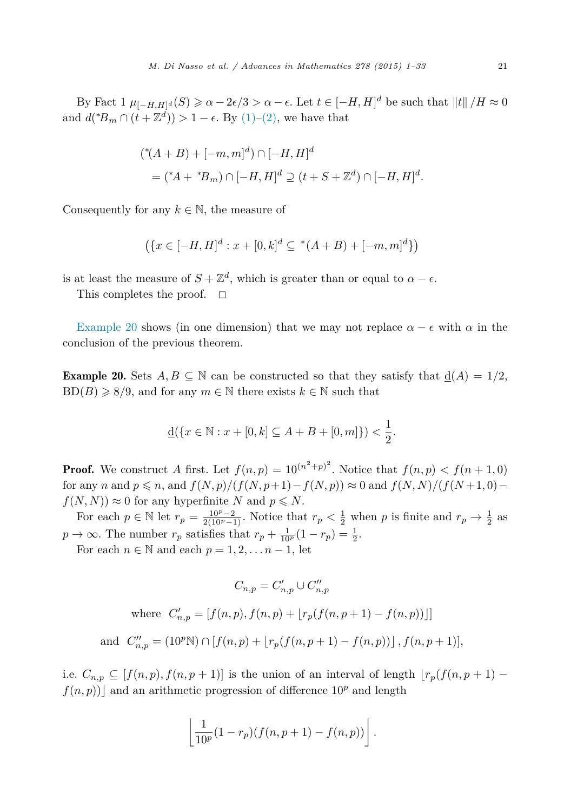<span id="page-20-0"></span>By Fact  $1 \mu_{[-H,H]^d}(S) \ge \alpha - 2\epsilon/3 > \alpha - \epsilon$ . Let  $t \in [-H,H]^d$  be such that  $||t||/H \approx 0$ and  $d({^*B_m \cap (t + \mathbb{Z}^d)}) > 1 - \epsilon$ . By [\(1\)–\(2\),](#page-19-0) we have that

$$
(* (A + B) + [-m, m]^{d}) \cap [-H, H]^{d}
$$
  
= (\*A + \*B<sub>m</sub>)  $\cap [-H, H]^{d} \supseteq (t + S + \mathbb{Z}^{d}) \cap [-H, H]^{d}$ .

Consequently for any  $k \in \mathbb{N}$ , the measure of

$$
(\{x \in [-H, H]^d : x + [0, k]^d \subseteq {}^*(A + B) + [-m, m]^d\})
$$

is at least the measure of  $S + \mathbb{Z}^d$ , which is greater than or equal to  $\alpha - \epsilon$ .

This completes the proof.  $\square$ 

Example 20 shows (in one dimension) that we may not replace  $\alpha - \epsilon$  with  $\alpha$  in the conclusion of the previous theorem.

**Example 20.** Sets  $A, B \subseteq \mathbb{N}$  can be constructed so that they satisfy that  $\underline{d}(A) = 1/2$ ,  $BD(B) \ge 8/9$ , and for any  $m \in \mathbb{N}$  there exists  $k \in \mathbb{N}$  such that

$$
\underline{\mathbf{d}}(\{x \in \mathbb{N} : x + [0, k] \subseteq A + B + [0, m]\}) < \frac{1}{2}.
$$

**Proof.** We construct *A* first. Let  $f(n,p) = 10^{(n^2+p)^2}$ . Notice that  $f(n,p) < f(n+1,0)$ for any *n* and  $p \le n$ , and  $f(N, p)/(f(N, p+1) - f(N, p)) \approx 0$  and  $f(N, N)/(f(N+1, 0)$  $f(N, N) \approx 0$  for any hyperfinite *N* and  $p \le N$ .

For each  $p \in \mathbb{N}$  let  $r_p = \frac{10^p - 2}{2(10^p - 1)}$ . Notice that  $r_p < \frac{1}{2}$  when  $p$  is finite and  $r_p \to \frac{1}{2}$  as  $p \to \infty$ . The number  $r_p$  satisfies that  $r_p + \frac{1}{10^p}(1 - r_p) = \frac{1}{2}$ .

For each  $n \in \mathbb{N}$  and each  $p = 1, 2, \ldots n - 1$ , let

$$
C_{n,p} = C'_{n,p} \cup C''_{n,p}
$$
  
where  $C'_{n,p} = [f(n, p), f(n, p) + \lfloor r_p(f(n, p + 1) - f(n, p)) \rfloor]$   
and  $C''_{n,p} = (10^p \mathbb{N}) \cap [f(n, p) + \lfloor r_p(f(n, p + 1) - f(n, p)) \rfloor, f(n, p + 1)],$ 

i.e.  $C_{n,p}$  ⊆ [ $f(n,p)$ ,  $f(n,p+1)$ ] is the union of an interval of length  $\lfloor r_p(f(n,p+1) - r_p(f(n, p+1)) \rfloor$  $f(n, p)$  and an arithmetic progression of difference  $10<sup>p</sup>$  and length

$$
\left\lfloor \frac{1}{10^p} (1-r_p)(f(n,p+1)-f(n,p)) \right\rfloor.
$$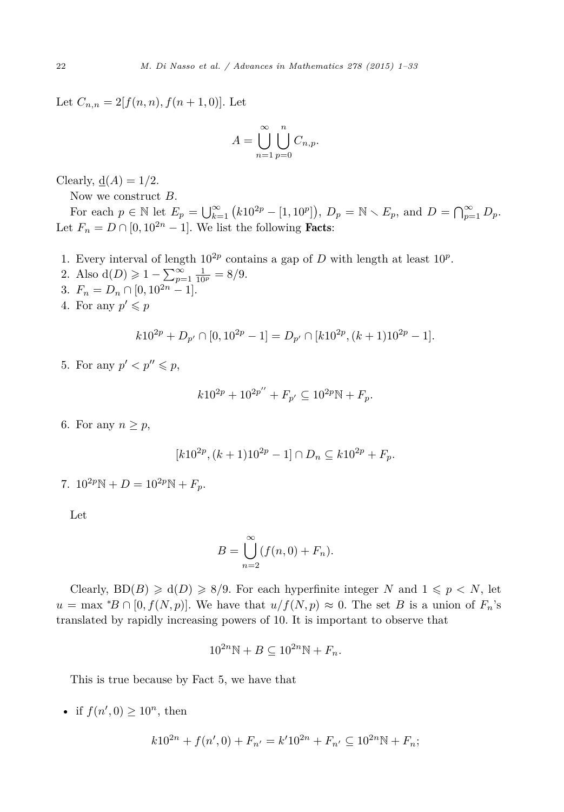Let  $C_{n,n} = 2[f(n,n), f(n+1,0)].$  Let

$$
A = \bigcup_{n=1}^{\infty} \bigcup_{p=0}^{n} C_{n,p}.
$$

Clearly,  $\underline{d}(A) = 1/2$ .

Now we construct *B*.

For each  $p \in \mathbb{N}$  let  $E_p = \bigcup_{k=1}^{\infty} (k10^{2p} - [1, 10^p]), D_p = \mathbb{N} \setminus E_p$ , and  $D = \bigcap_{p=1}^{\infty} D_p$ . Let  $F_n = D \cap [0, 10^{2n} - 1]$ . We list the following **Facts**:

- 1. Every interval of length  $10^{2p}$  contains a gap of *D* with length at least  $10^p$ .
- 2. Also  $d(D) \geq 1 \sum_{p=1}^{\infty} \frac{1}{10^p} = 8/9.$
- 3.  $F_n = D_n \cap [0, 10^{2n} 1].$
- 4. For any  $p' \leq p$

$$
k10^{2p} + D_{p'} \cap [0, 10^{2p} - 1] = D_{p'} \cap [k10^{2p}, (k+1)10^{2p} - 1].
$$

5. For any  $p' < p'' \leqslant p$ ,

$$
k10^{2p} + 10^{2p''} + F_{p'} \subseteq 10^{2p} \mathbb{N} + F_p.
$$

6. For any  $n \geq p$ ,

$$
[k10^{2p}, (k+1)10^{2p} - 1] \cap D_n \subseteq k10^{2p} + F_p.
$$

7.  $10^{2p}\mathbb{N} + D = 10^{2p}\mathbb{N} + F_p$ .

Let

$$
B = \bigcup_{n=2}^{\infty} (f(n,0) + F_n).
$$

Clearly,  $BD(B) \ge d(D) \ge 8/9$ . For each hyperfinite integer *N* and  $1 \le p \le N$ , let  $u = \max {^*B} \cap [0, f(N, p)]$ . We have that  $u/f(N, p) \approx 0$ . The set *B* is a union of  $F_n$ 's translated by rapidly increasing powers of 10. It is important to observe that

$$
10^{2n}\mathbb{N} + B \subseteq 10^{2n}\mathbb{N} + F_n.
$$

This is true because by Fact 5, we have that

• if  $f(n', 0) \ge 10^n$ , then

$$
k10^{2n} + f(n', 0) + F_{n'} = k'10^{2n} + F_{n'} \subseteq 10^{2n} \mathbb{N} + F_n;
$$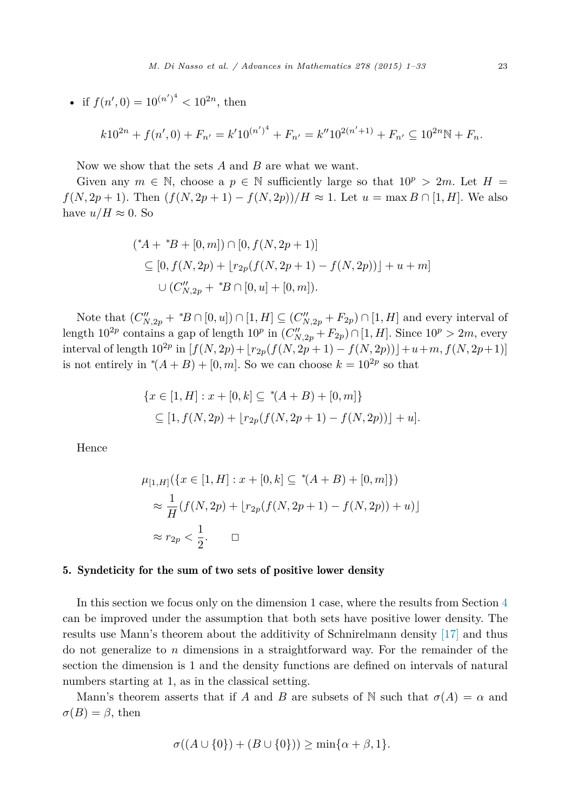<span id="page-22-0"></span>• if 
$$
f(n', 0) = 10^{(n')^4} < 10^{2n}
$$
, then

$$
k10^{2n} + f(n', 0) + F_{n'} = k'10^{(n')^4} + F_{n'} = k''10^{2(n'+1)} + F_{n'} \subseteq 10^{2n} \mathbb{N} + F_n.
$$

Now we show that the sets *A* and *B* are what we want.

Given any  $m \in \mathbb{N}$ , choose a  $p \in \mathbb{N}$  sufficiently large so that  $10^p > 2m$ . Let  $H =$ *f*(*N,* 2*p* + 1). Then  $(f(N, 2p + 1) - f(N, 2p))/H \approx 1$ . Let  $u = \max B \cap [1, H]$ . We also have  $u/H \approx 0$ . So

$$
(*A + *B + [0, m]) \cap [0, f(N, 2p + 1)]
$$
  
\n
$$
\subseteq [0, f(N, 2p) + [r_{2p}(f(N, 2p + 1) - f(N, 2p))] + u + m]
$$
  
\n
$$
\cup (C''_{N, 2p} + *B \cap [0, u] + [0, m]).
$$

Note that  $(C''_{N,2p} + {}^{*}B \cap [0,u]) \cap [1,H] \subseteq (C''_{N,2p} + F_{2p}) \cap [1,H]$  and every interval of length  $10^{2p}$  contains a gap of length  $10^p$  in  $(C''_{N,2p} + F_{2p}) \cap [1,H]$ . Since  $10^p > 2m$ , every interval of length  $10^{2p}$  in  $[f(N, 2p) + [r_{2p}(f(N, 2p + 1) - f(N, 2p))] + u + m, f(N, 2p + 1)]$ is not entirely in  $*(A + B) + [0, m]$ . So we can choose  $k = 10^{2p}$  so that

$$
\{x \in [1, H] : x + [0, k] \subseteq {}^{\ast}(A + B) + [0, m] \}
$$
  
 
$$
\subseteq [1, f(N, 2p) + [r_{2p}(f(N, 2p + 1) - f(N, 2p))] + u].
$$

Hence

$$
\mu_{[1,H]}(\{x \in [1, H] : x + [0, k] \subseteq {}^*(A + B) + [0, m]\})
$$
  
\n
$$
\approx \frac{1}{H}(f(N, 2p) + [r_{2p}(f(N, 2p + 1) - f(N, 2p)) + u)]
$$
  
\n
$$
\approx r_{2p} < \frac{1}{2}. \qquad \Box
$$

## 5. Syndeticity for the sum of two sets of positive lower density

In this section we focus only on the dimension 1 case, where the results from Section [4](#page-17-0) can be improved under the assumption that both sets have positive lower density. The results use Mann's theorem about the additivity of Schnirelmann density [\[17\]](#page-32-0) and thus do not generalize to *n* dimensions in a straightforward way. For the remainder of the section the dimension is 1 and the density functions are defined on intervals of natural numbers starting at 1, as in the classical setting.

Mann's theorem asserts that if *A* and *B* are subsets of N such that  $\sigma(A) = \alpha$  and  $\sigma(B) = \beta$ , then

$$
\sigma((A \cup \{0\}) + (B \cup \{0\})) \ge \min\{\alpha + \beta, 1\}.
$$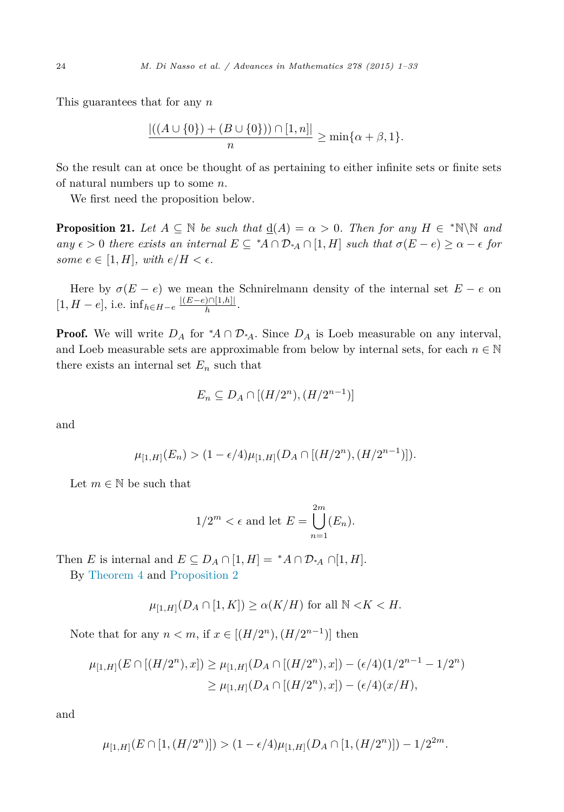<span id="page-23-0"></span>This guarantees that for any *n*

$$
\frac{|((A \cup \{0\}) + (B \cup \{0\})) \cap [1, n]|}{n} \ge \min\{\alpha + \beta, 1\}.
$$

So the result can at once be thought of as pertaining to either infinite sets or finite sets of natural numbers up to some *n*.

We first need the proposition below.

**Proposition 21.** Let  $A \subseteq \mathbb{N}$  be such that  $\underline{d}(A) = \alpha > 0$ . Then for any  $H \in {^*}\mathbb{N}\backslash\mathbb{N}$  and any  $\epsilon > 0$  there exists an internal  $E \subseteq {}^{\ast}A \cap \mathcal{D}_{{}^{\ast}A} \cap [1,H]$  such that  $\sigma(E-e) \geq \alpha - \epsilon$  for *some*  $e \in [1, H]$ *, with*  $e/H \leq \epsilon$ *.* 

Here by  $\sigma(E - e)$  we mean the Schnirelmann density of the internal set  $E - e$  on  $[1, H - e]$ , i.e.  $\inf_{h \in H - e} \frac{|(E - e) \cap [1, h]|}{h}$ .

**Proof.** We will write  $D_A$  for  $^*A \cap D_{^*A}$ . Since  $D_A$  is Loeb measurable on any interval, and Loeb measurable sets are approximable from below by internal sets, for each  $n \in \mathbb{N}$ there exists an internal set  $E_n$  such that

$$
E_n \subseteq D_A \cap [(H/2^n), (H/2^{n-1})]
$$

and

$$
\mu_{[1,H]}(E_n) > (1 - \epsilon/4)\mu_{[1,H]}(D_A \cap [(H/2^n), (H/2^{n-1})]).
$$

Let  $m \in \mathbb{N}$  be such that

$$
1/2^m < \epsilon \text{ and let } E = \bigcup_{n=1}^{2m} (E_n).
$$

Then *E* is internal and  $E \subseteq D_A \cap [1, H] = {}^*A \cap \mathcal{D}_A \cap [1, H]$ .

By [Theorem 4](#page-7-0) and [Proposition 2](#page-5-0)

$$
\mu_{[1,H]}(D_A \cap [1, K]) \ge \alpha(K/H)
$$
 for all  $\mathbb{N} < K < H$ .

Note that for any  $n < m$ , if  $x \in [(H/2^n), (H/2^{n-1})]$  then

$$
\mu_{[1,H]}(E \cap [(H/2^n), x]) \ge \mu_{[1,H]}(D_A \cap [(H/2^n), x]) - (\epsilon/4)(1/2^{n-1} - 1/2^n)
$$
  

$$
\ge \mu_{[1,H]}(D_A \cap [(H/2^n), x]) - (\epsilon/4)(x/H),
$$

and

$$
\mu_{[1,H]}(E\cap [1,(H/2^n)])>(1-\epsilon/4)\mu_{[1,H]}(D_A\cap [1,(H/2^n)])-1/2^{2m}.
$$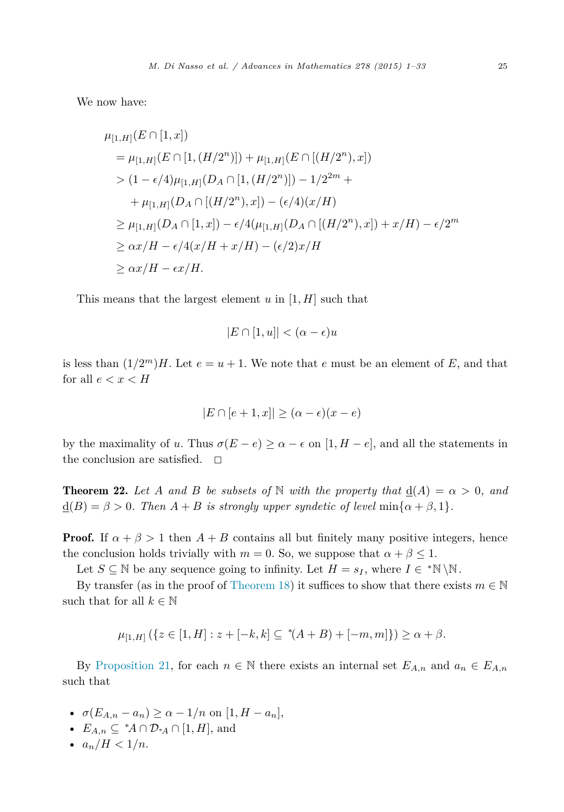<span id="page-24-0"></span>We now have:

$$
\mu_{[1,H]}(E \cap [1, x])
$$
\n
$$
= \mu_{[1,H]}(E \cap [1, (H/2^n)]) + \mu_{[1,H]}(E \cap [(H/2^n), x])
$$
\n
$$
> (1 - \epsilon/4)\mu_{[1,H]}(D_A \cap [1, (H/2^n)]) - 1/2^{2m} +
$$
\n
$$
+ \mu_{[1,H]}(D_A \cap [(H/2^n), x]) - (\epsilon/4)(x/H)
$$
\n
$$
\geq \mu_{[1,H]}(D_A \cap [1, x]) - \epsilon/4(\mu_{[1,H]}(D_A \cap [(H/2^n), x]) + x/H) - \epsilon/2^m
$$
\n
$$
\geq \alpha x/H - \epsilon/4(x/H + x/H) - (\epsilon/2)x/H
$$
\n
$$
\geq \alpha x/H - \epsilon x/H.
$$

This means that the largest element *u* in [1*, H*] such that

$$
|E \cap [1, u]| < (\alpha - \epsilon)u
$$

is less than  $(1/2<sup>m</sup>)H$ . Let  $e = u + 1$ . We note that *e* must be an element of *E*, and that for all  $e < x < H$ 

$$
|E \cap [e+1, x]| \ge (\alpha - \epsilon)(x - e)
$$

by the maximality of *u*. Thus  $\sigma(E-e) \geq \alpha - \epsilon$  on [1, *H* − *e*], and all the statements in the conclusion are satisfied.  $\quad \Box$ 

**Theorem 22.** Let A and B be subsets of N with the property that  $\underline{d}(A) = \alpha > 0$ , and  $\underline{d}(B) = \beta > 0$ *. Then*  $A + B$  *is strongly upper syndetic of level* min $\{\alpha + \beta, 1\}$ *.* 

**Proof.** If  $\alpha + \beta > 1$  then  $A + B$  contains all but finitely many positive integers, hence the conclusion holds trivially with  $m = 0$ . So, we suppose that  $\alpha + \beta \leq 1$ .

Let  $S \subseteq \mathbb{N}$  be any sequence going to infinity. Let  $H = s_I$ , where  $I \in {}^* \mathbb{N} \backslash \mathbb{N}$ .

By transfer (as in the proof of [Theorem 18\)](#page-18-0) it suffices to show that there exists  $m \in \mathbb{N}$ such that for all  $k \in \mathbb{N}$ 

$$
\mu_{[1,H]}\left(\{z \in [1,H] : z + [-k,k] \subseteq {}^*\!(A+B) + [-m,m]\}\right) \ge \alpha + \beta.
$$

By [Proposition 21,](#page-23-0) for each  $n \in \mathbb{N}$  there exists an internal set  $E_{A,n}$  and  $a_n \in E_{A,n}$ such that

- $\sigma(E_{A,n} a_n) \ge \alpha 1/n$  on  $[1, H a_n],$
- $E_{A,n} \subseteq {}^{\ast}A \cap \mathcal{D}_{^{\ast}A} \cap [1, H],$  and
- $a_n/H < 1/n$ .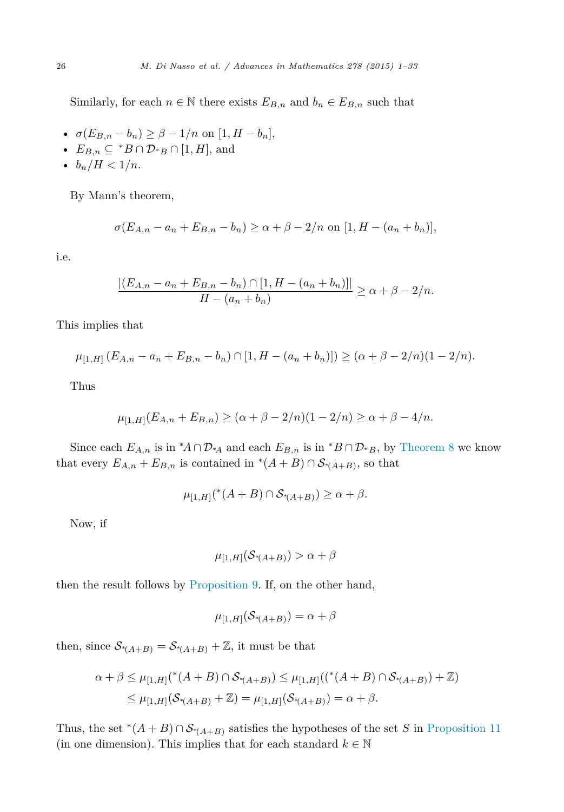Similarly, for each  $n \in \mathbb{N}$  there exists  $E_{B,n}$  and  $b_n \in E_{B,n}$  such that

- $\sigma(E_{B,n} b_n) \geq \beta 1/n$  on  $[1, H b_n],$
- $E_{B,n} \subseteq {}^*B \cap \mathcal{D}_*$ <sub>*B*</sub>  $\cap$  [1, *H*], and
- $b_n/H < 1/n$ .

By Mann's theorem,

$$
\sigma(E_{A,n} - a_n + E_{B,n} - b_n) \ge \alpha + \beta - 2/n \text{ on } [1, H - (a_n + b_n)],
$$

i.e.

$$
\frac{|(E_{A,n} - a_n + E_{B,n} - b_n) \cap [1, H - (a_n + b_n)]|}{H - (a_n + b_n)} \ge \alpha + \beta - 2/n.
$$

This implies that

$$
\mu_{[1,H]}(E_{A,n} - a_n + E_{B,n} - b_n) \cap [1, H - (a_n + b_n)]) \geq (\alpha + \beta - 2/n)(1 - 2/n).
$$

Thus

$$
\mu_{[1,H]}(E_{A,n}+E_{B,n}) \geq (\alpha+\beta-2/n)(1-2/n) \geq \alpha+\beta-4/n.
$$

Since each  $E_{A,n}$  is in \* $A \cap \mathcal{D}_{*A}$  and each  $E_{B,n}$  is in \* $B \cap \mathcal{D}_{*B}$ , by [Theorem 8](#page-10-0) we know that every  $E_{A,n} + E_{B,n}$  is contained in  $*(A + B) \cap S_{*(A+B)}$ , so that

$$
\mu_{[1,H]}({}^*(A+B)\cap \mathcal{S}_{*(A+B)})\geq \alpha+\beta.
$$

Now, if

$$
\mu_{[1,H]}(\mathcal{S}_{*(A+B)}) > \alpha + \beta
$$

then the result follows by [Proposition 9.](#page-11-0) If, on the other hand,

$$
\mu_{[1,H]}(\mathcal{S}_{*(A+B)}) = \alpha + \beta
$$

then, since  $S_*(A+B) = S_*(A+B) + \mathbb{Z}$ , it must be that

$$
\alpha + \beta \le \mu_{[1,H]}({}^*(A+B) \cap S_{*(A+B)}) \le \mu_{[1,H]}(({}^*(A+B) \cap S_{*(A+B)}) + \mathbb{Z})
$$
  

$$
\le \mu_{[1,H]}(S_{*(A+B)} + \mathbb{Z}) = \mu_{[1,H]}(S_{*(A+B)}) = \alpha + \beta.
$$

Thus, the set  $*(A + B) \cap S_{*(A+B)}$  satisfies the hypotheses of the set *S* in [Proposition 11](#page-13-0) (in one dimension). This implies that for each standard  $k \in \mathbb{N}$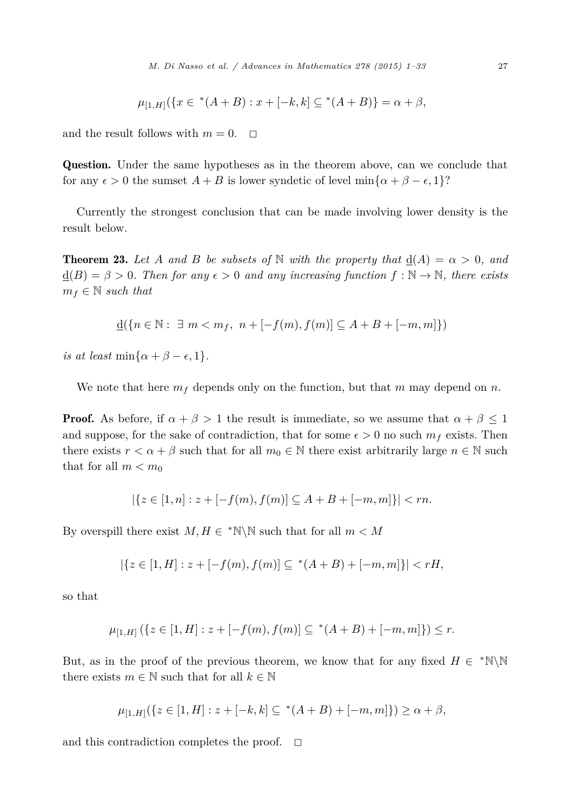$$
\mu_{[1,H]}(\{x \in {}^*(A+B) : x + [-k,k] \subseteq {}^*(A+B)\} = \alpha + \beta,
$$

and the result follows with  $m = 0$ .  $\Box$ 

Question. Under the same hypotheses as in the theorem above, can we conclude that for any  $\epsilon > 0$  the sumset  $A + B$  is lower syndetic of level min $\{\alpha + \beta - \epsilon, 1\}$ ?

Currently the strongest conclusion that can be made involving lower density is the result below.

**Theorem 23.** Let A and B be subsets of N with the property that  $d(A) = \alpha > 0$ , and  $d(B) = \beta > 0$ . Then for any  $\epsilon > 0$  and any increasing function  $f : \mathbb{N} \to \mathbb{N}$ , there exists  $m_f \in \mathbb{N}$  *such that* 

$$
\underline{\mathrm{d}}(\{n \in \mathbb{N}: \ \exists \ m < m_f, \ n + [-f(m), f(m)] \subseteq A + B + [-m, m]\})
$$

 $i$ *s at least* min{ $\alpha + \beta - \epsilon$ , 1}*.* 

We note that here  $m_f$  depends only on the function, but that  $m$  may depend on  $n$ .

**Proof.** As before, if  $\alpha + \beta > 1$  the result is immediate, so we assume that  $\alpha + \beta \leq 1$ and suppose, for the sake of contradiction, that for some  $\epsilon > 0$  no such  $m_f$  exists. Then there exists  $r < \alpha + \beta$  such that for all  $m_0 \in \mathbb{N}$  there exist arbitrarily large  $n \in \mathbb{N}$  such that for all  $m < m_0$ 

$$
|\{z \in [1,n] : z + [-f(m), f(m)] \subseteq A + B + [-m, m]\}| < rn.
$$

By overspill there exist  $M, H \in \mathbb{N} \setminus \mathbb{N}$  such that for all  $m < M$ 

$$
|\{z \in [1, H] : z + [-f(m), f(m)] \subseteq {}^*(A+B) + [-m, m]\}| < rH,
$$

so that

$$
\mu_{[1,H]}\left(\{z \in [1,H] : z + [-f(m), f(m)] \subseteq {}^*(A+B) + [-m,m]\}\right) \leq r.
$$

But, as in the proof of the previous theorem, we know that for any fixed  $H \in {}^*N\backslash N$ there exists  $m \in \mathbb{N}$  such that for all  $k \in \mathbb{N}$ 

$$
\mu_{[1,H]}(\{z \in [1,H] : z + [-k,k] \subseteq {}^*(A+B) + [-m,m]\}) \ge \alpha + \beta,
$$

and this contradiction completes the proof.  $\Box$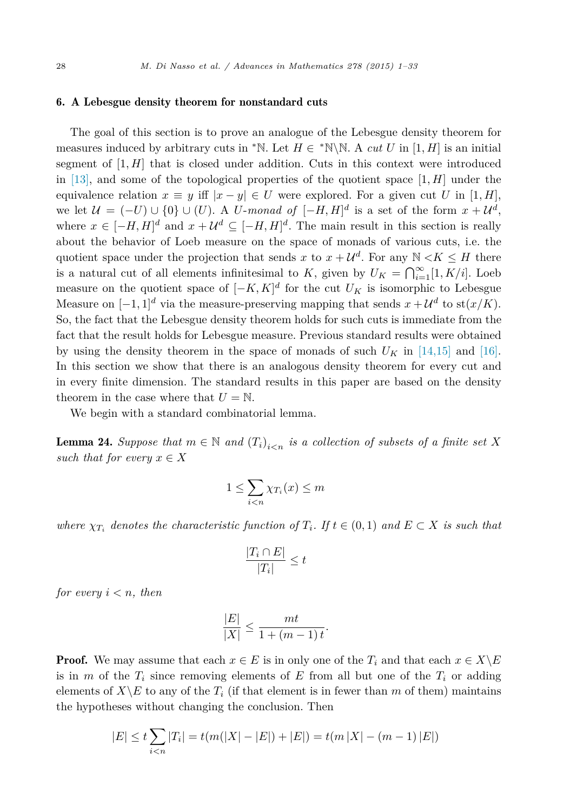#### <span id="page-27-0"></span>6. A Lebesgue density theorem for nonstandard cuts

The goal of this section is to prove an analogue of the Lebesgue density theorem for measures induced by arbitrary cuts in <sup>∗</sup>N. Let  $H \in$  <sup>\*</sup>N\N. A *cut U* in [1, *H*] is an initial segment of  $[1, H]$  that is closed under addition. Cuts in this context were introduced in [\[13\],](#page-32-0) and some of the topological properties of the quotient space [1*, H*] under the equivalence relation  $x \equiv y$  iff  $|x - y| \in U$  were explored. For a given cut *U* in [1, *H*], we let  $\mathcal{U} = (-U) \cup \{0\} \cup (U)$ . A *U*-monad of  $[-H, H]^d$  is a set of the form  $x + \mathcal{U}^d$ , where  $x \in [-H, H]^d$  and  $x + U^d \subseteq [-H, H]^d$ . The main result in this section is really about the behavior of Loeb measure on the space of monads of various cuts, i.e. the quotient space under the projection that sends *x* to  $x + U^d$ . For any  $N \lt K \leq H$  there is a natural cut of all elements infinitesimal to *K*, given by  $U_K = \bigcap_{i=1}^{\infty} [1, K/i]$ . Loeb measure on the quotient space of  $[-K, K]^d$  for the cut  $U_K$  is isomorphic to Lebesgue Measure on  $[-1, 1]^d$  via the measure-preserving mapping that sends  $x + U^d$  to st $(x/K)$ . So, the fact that the Lebesgue density theorem holds for such cuts is immediate from the fact that the result holds for Lebesgue measure. Previous standard results were obtained by using the density theorem in the space of monads of such  $U_K$  in [\[14,15\]](#page-32-0) and [\[16\].](#page-32-0) In this section we show that there is an analogous density theorem for every cut and in every finite dimension. The standard results in this paper are based on the density theorem in the case where that  $U = N$ .

We begin with a standard combinatorial lemma.

**Lemma 24.** Suppose that  $m \in \mathbb{N}$  and  $(T_i)_{i \leq n}$  is a collection of subsets of a finite set X *such that for every*  $x \in X$ 

$$
1 \le \sum_{i < n} \chi_{T_i}(x) \le m
$$

where  $\chi_{T_i}$  denotes the characteristic function of  $T_i$ . If  $t \in (0,1)$  and  $E \subset X$  is such that

$$
\frac{|T_i \cap E|}{|T_i|} \le t
$$

*for every*  $i < n$ *, then* 

$$
\frac{|E|}{|X|} \le \frac{mt}{1 + (m-1)t}.
$$

**Proof.** We may assume that each  $x \in E$  is in only one of the  $T_i$  and that each  $x \in X \backslash E$ is in *m* of the  $T_i$  since removing elements of  $E$  from all but one of the  $T_i$  or adding elements of  $X \setminus E$  to any of the  $T_i$  (if that element is in fewer than *m* of them) maintains the hypotheses without changing the conclusion. Then

$$
|E| \le t \sum_{i < n} |T_i| = t(m(|X| - |E|) + |E|) = t(m|X| - (m-1)|E|)
$$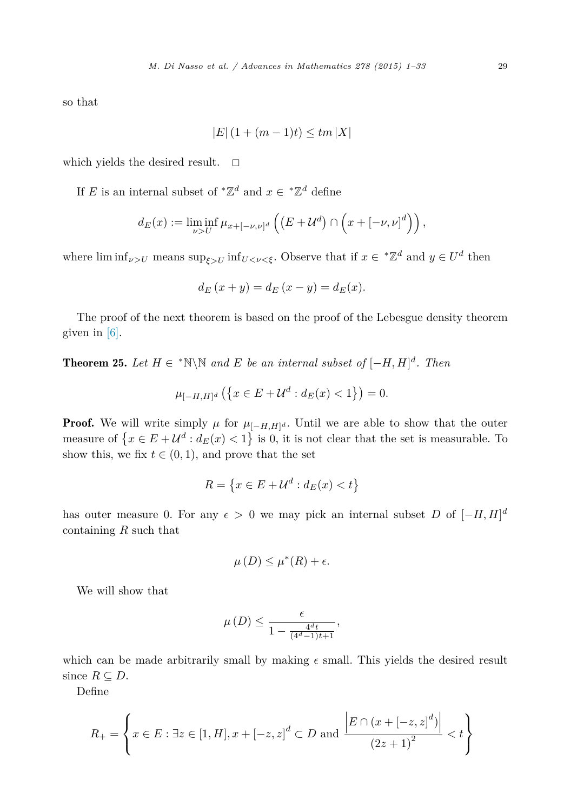so that

$$
|E| (1 + (m - 1)t) \le tm |X|
$$

which yields the desired result.  $\square$ 

If *E* is an internal subset of  $^*\mathbb{Z}^d$  and  $x \in \ ^*\mathbb{Z}^d$  define

$$
d_E(x) := \liminf_{\nu > U} \mu_{x+[-\nu,\nu]^d} \left( \left( E + \mathcal{U}^d \right) \cap \left( x + [-\nu,\nu]^d \right) \right),
$$

where  $\liminf_{\nu>U}$  means  $\sup_{\xi>U} \inf_{U<\nu<\xi}$ . Observe that if  $x \in {}^*\mathbb{Z}^d$  and  $y \in U^d$  then

$$
d_E(x + y) = d_E(x - y) = d_E(x).
$$

The proof of the next theorem is based on the proof of the Lebesgue density theorem given in [\[6\].](#page-32-0)

**Theorem 25.** Let  $H \in \mathbb{N} \setminus \mathbb{N}$  and  $E$  be an internal subset of  $[-H, H]^d$ . Then

$$
\mu_{[-H,H]^d}(\{x \in E + \mathcal{U}^d : d_E(x) < 1\}) = 0.
$$

**Proof.** We will write simply  $\mu$  for  $\mu_{[-H,H]^d}$ . Until we are able to show that the outer measure of  $\{x \in E + U^d : d_E(x) < 1\}$  is 0, it is not clear that the set is measurable. To show this, we fix  $t \in (0, 1)$ , and prove that the set

$$
R = \left\{ x \in E + \mathcal{U}^d : d_E(x) < t \right\}
$$

has outer measure 0. For any  $\epsilon > 0$  we may pick an internal subset *D* of  $[-H, H]^d$ containing *R* such that

$$
\mu(D) \le \mu^*(R) + \epsilon.
$$

We will show that

$$
\mu(D) \le \frac{\epsilon}{1 - \frac{4^d t}{(4^d - 1)t + 1}},
$$

which can be made arbitrarily small by making  $\epsilon$  small. This yields the desired result since  $R \subseteq D$ .

Define

$$
R_{+} = \left\{ x \in E : \exists z \in [1, H], x + [-z, z]^{d} \subset D \text{ and } \frac{\left| E \cap (x + [-z, z]^{d}) \right|}{(2z + 1)^{2}} < t \right\}
$$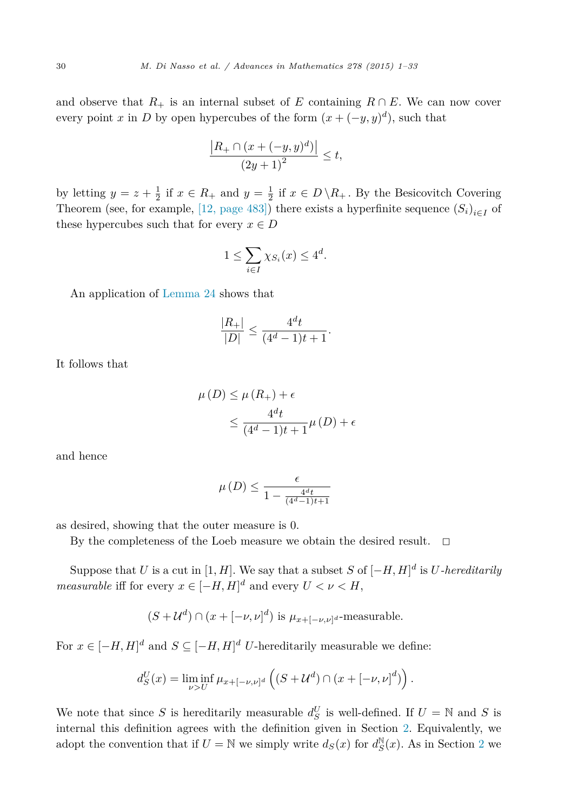and observe that  $R_+$  is an internal subset of *E* containing  $R \cap E$ . We can now cover every point *x* in *D* by open hypercubes of the form  $(x + (-y, y)^d)$ , such that

$$
\frac{|R_{+} \cap (x + (-y, y)^{d})|}{(2y + 1)^{2}} \leq t,
$$

by letting  $y = z + \frac{1}{2}$  if  $x \in R_+$  and  $y = \frac{1}{2}$  if  $x \in D \setminus R_+$ . By the Besicovitch Covering Theorem (see, for example, [12, [page](#page-32-0) 483]) there exists a hyperfinite sequence  $(S_i)_{i \in I}$  of these hypercubes such that for every  $x \in D$ 

$$
1 \le \sum_{i \in I} \chi_{S_i}(x) \le 4^d.
$$

An application of [Lemma 24](#page-27-0) shows that

$$
\frac{|R_+|}{|D|} \le \frac{4^d t}{(4^d - 1)t + 1}.
$$

It follows that

$$
\mu(D) \le \mu(R_+) + \epsilon
$$
  
 
$$
\le \frac{4^d t}{(4^d - 1)t + 1} \mu(D) + \epsilon
$$

and hence

$$
\mu(D) \le \frac{\epsilon}{1 - \frac{4^d t}{(4^d - 1)t + 1}}
$$

as desired, showing that the outer measure is 0.

By the completeness of the Loeb measure we obtain the desired result.  $\Box$ 

Suppose that *U* is a cut in [1*, H*]. We say that a subset *S* of  $[-H, H]^d$  is *U*-hereditarily *measurable* iff for every  $x \in [-H, H]^d$  and every  $U < \nu < H$ ,

$$
(S + \mathcal{U}^d) \cap (x + [-\nu, \nu]^d)
$$
 is  $\mu_{x + [-\nu, \nu]^d}$ -measurable.

For  $x \in [-H, H]^d$  and  $S \subseteq [-H, H]^d$  *U*-hereditarily measurable we define:

$$
d_S^U(x) = \liminf_{\nu > U} \mu_{x+[-\nu,\nu]^d} \left( (S + \mathcal{U}^d) \cap (x + [-\nu,\nu]^d) \right).
$$

We note that since *S* is hereditarily measurable  $d_S^U$  is well-defined. If  $U = N$  and *S* is internal this definition agrees with the definition given in Section [2.](#page-6-0) Equivalently, we adopt the convention that if  $U = \mathbb{N}$  we simply write  $d_S(x)$  for  $d_S^{\mathbb{N}}(x)$ . As in Section [2](#page-6-0) we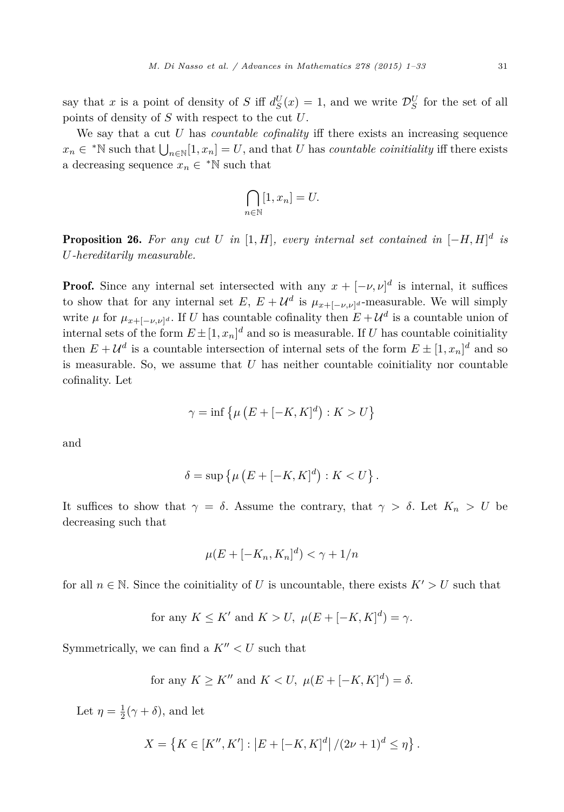say that *x* is a point of density of *S* iff  $d_S^U(x) = 1$ , and we write  $\mathcal{D}_S^U$  for the set of all points of density of *S* with respect to the cut *U*.

We say that a cut *U* has *countable cofinality* iff there exists an increasing sequence  $x_n \in * \mathbb{N}$  such that  $\bigcup_{n \in \mathbb{N}} [1, x_n] = U$ , and that *U* has *countable coinitiality* iff there exists a decreasing sequence  $x_n \in {}^{\ast} \mathbb{N}$  such that

$$
\bigcap_{n\in\mathbb{N}}[1,x_n]=U.
$$

**Proposition 26.** For any cut U in  $[1, H]$ , every internal set contained in  $[-H, H]^d$  is *U-hereditarily measurable.*

**Proof.** Since any internal set intersected with any  $x + [-\nu, \nu]^d$  is internal, it suffices to show that for any internal set  $E, E + U^d$  is  $\mu_{x+[-\nu,\nu]^d}$ -measurable. We will simply write  $\mu$  for  $\mu_{x+[-\nu,\nu]^d}$ . If *U* has countable cofinality then  $E+\mathcal{U}^d$  is a countable union of internal sets of the form  $E \pm [1, x_n]^d$  and so is measurable. If *U* has countable coinitiality then  $E + U^d$  is a countable intersection of internal sets of the form  $E \pm [1, x_n]^d$  and so is measurable. So, we assume that  $U$  has neither countable coinitiality nor countable cofinality. Let

$$
\gamma = \inf \left\{ \mu \left( E + [-K, K]^d \right) : K > U \right\}
$$

and

$$
\delta = \sup \left\{ \mu \left( E + [-K, K]^d \right) : K < U \right\}.
$$

It suffices to show that  $\gamma = \delta$ . Assume the contrary, that  $\gamma > \delta$ . Let  $K_n > U$  be decreasing such that

$$
\mu(E + [-K_n, K_n]^d) < \gamma + 1/n
$$

for all  $n \in \mathbb{N}$ . Since the coinitiality of *U* is uncountable, there exists  $K' > U$  such that

for any 
$$
K \leq K'
$$
 and  $K > U$ ,  $\mu(E + [-K, K]^d) = \gamma$ .

Symmetrically, we can find a  $K'' < U$  such that

for any 
$$
K \ge K''
$$
 and  $K < U$ ,  $\mu(E + [-K, K]^d) = \delta$ .

Let  $\eta = \frac{1}{2}(\gamma + \delta)$ , and let

$$
X = \left\{ K \in [K'', K'] : \left| E + \left[ -K, K \right]^d \right| / (2\nu + 1)^d \le \eta \right\}.
$$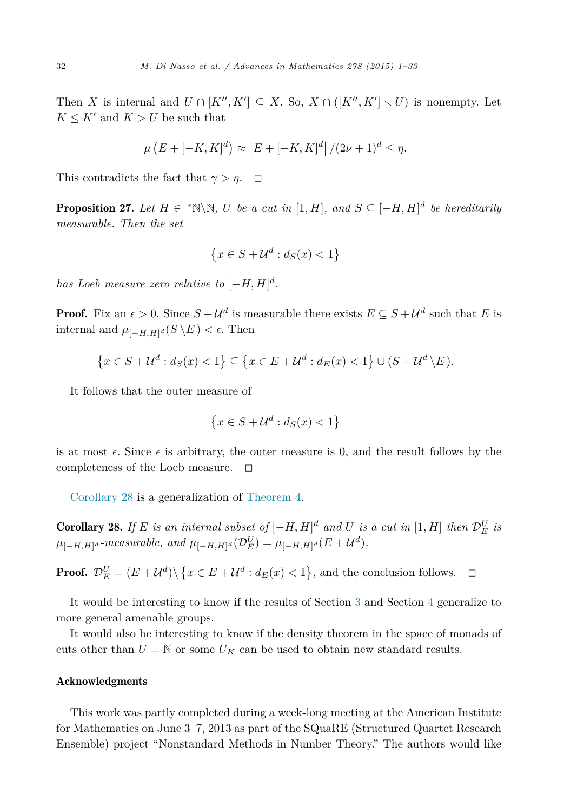<span id="page-31-0"></span>Then *X* is internal and  $U \cap [K'', K'] \subseteq X$ . So,  $X \cap ([K'', K'] \setminus U)$  is nonempty. Let  $K \leq K'$  and  $K > U$  be such that

$$
\mu(E + [-K, K]^d) \approx |E + [-K, K]^d | / (2\nu + 1)^d \le \eta.
$$

This contradicts the fact that  $\gamma > \eta$ .  $\Box$ 

**Proposition 27.** Let  $H \in \mathbb{N} \setminus \mathbb{N}$ , U be a cut in  $[1, H]$ , and  $S \subseteq [-H, H]^d$  be hereditarily *measurable. Then the set*

$$
\left\{x \in S + \mathcal{U}^d : d_S(x) < 1\right\}
$$

*has Loeb measure zero relative to*  $[-H, H]^d$ *.* 

**Proof.** Fix an  $\epsilon > 0$ . Since  $S + U^d$  is measurable there exists  $E \subseteq S + U^d$  such that *E* is internal and  $\mu_{[-H,H]^d}(S \backslash E) < \epsilon$ . Then

$$
\left\{x \in S + \mathcal{U}^d : d_S(x) < 1\right\} \subseteq \left\{x \in E + \mathcal{U}^d : d_E(x) < 1\right\} \cup (S + \mathcal{U}^d \setminus E).
$$

It follows that the outer measure of

$$
\left\{x \in S + \mathcal{U}^d : d_S(x) < 1\right\}
$$

is at most  $\epsilon$ . Since  $\epsilon$  is arbitrary, the outer measure is 0, and the result follows by the completeness of the Loeb measure.  $\square$ 

Corollary 28 is a generalization of [Theorem 4.](#page-7-0)

**Corollary 28.** If E is an internal subset of  $[-H, H]^d$  and U is a cut in  $[1, H]$  then  $\mathcal{D}_E^U$  is  $\mu_{[-H,H]^d}$  *-measurable,* and  $\mu_{[-H,H]^d}(\mathcal{D}_E^U) = \mu_{[-H,H]^d}(E + \mathcal{U}^d)$ .

**Proof.**  $\mathcal{D}_{E}^{U} = (E + \mathcal{U}^{d}) \setminus \{x \in E + \mathcal{U}^{d} : d_{E}(x) < 1\}$ , and the conclusion follows.  $\Box$ 

It would be interesting to know if the results of Section [3](#page-12-0) and Section [4](#page-17-0) generalize to more general amenable groups.

It would also be interesting to know if the density theorem in the space of monads of cuts other than  $U = N$  or some  $U_K$  can be used to obtain new standard results.

# Acknowledgments

This work was partly completed during a week-long meeting at the American Institute for Mathematics on June 3–7, 2013 as part of the SQuaRE (Structured Quartet Research Ensemble) project "Nonstandard Methods in Number Theory." The authors would like